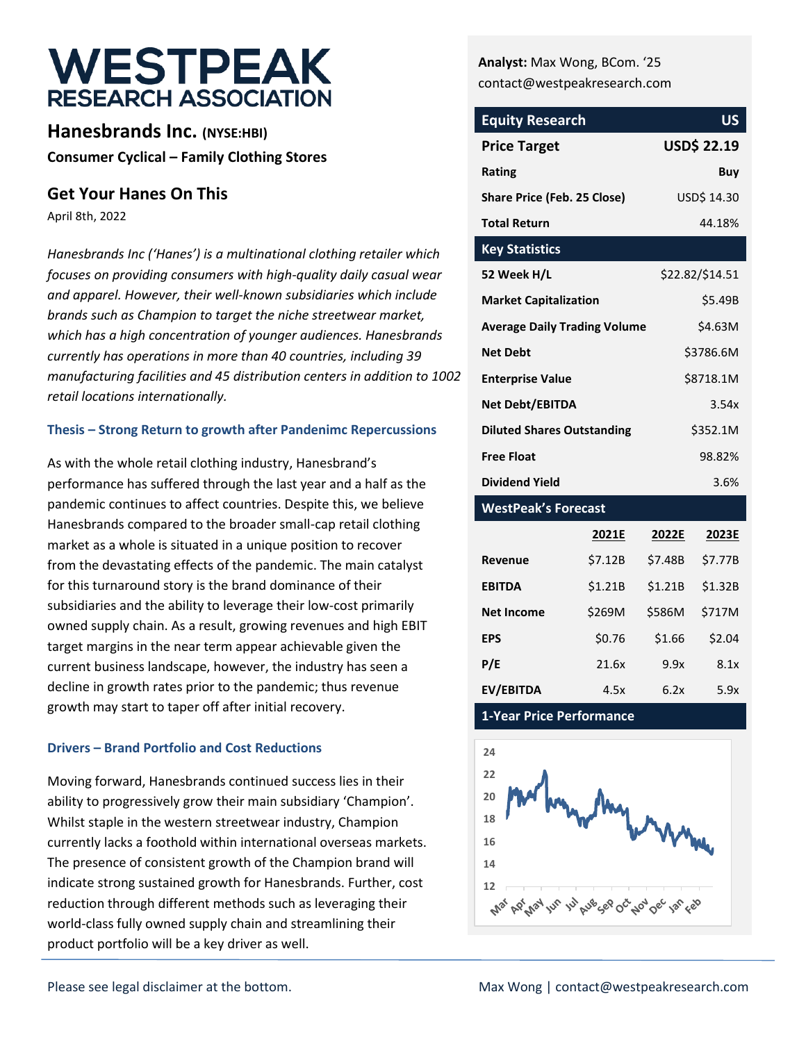# **WESTPEAK RESEARCH ASSOCIATION**

**Hanesbrands Inc. (NYSE:HBI) Consumer Cyclical – Family Clothing Stores**

### **Get Your Hanes On This**

April 8th, 2022

*Hanesbrands Inc ('Hanes') is a multinational clothing retailer which focuses on providing consumers with high-quality daily casual wear and apparel. However, their well-known subsidiaries which include brands such as Champion to target the niche streetwear market, which has a high concentration of younger audiences. Hanesbrands currently has operations in more than 40 countries, including 39 manufacturing facilities and 45 distribution centers in addition to 1002 retail locations internationally.* 

### **Thesis – Strong Return to growth after Pandenimc Repercussions**

As with the whole retail clothing industry, Hanesbrand's performance has suffered through the last year and a half as the pandemic continues to affect countries. Despite this, we believe Hanesbrands compared to the broader small-cap retail clothing market as a whole is situated in a unique position to recover from the devastating effects of the pandemic. The main catalyst for this turnaround story is the brand dominance of their subsidiaries and the ability to leverage their low-cost primarily owned supply chain. As a result, growing revenues and high EBIT target margins in the near term appear achievable given the current business landscape, however, the industry has seen a decline in growth rates prior to the pandemic; thus revenue growth may start to taper off after initial recovery.

### **Drivers – Brand Portfolio and Cost Reductions**

Moving forward, Hanesbrands continued success lies in their ability to progressively grow their main subsidiary 'Champion'. Whilst staple in the western streetwear industry, Champion currently lacks a foothold within international overseas markets. The presence of consistent growth of the Champion brand will indicate strong sustained growth for Hanesbrands. Further, cost reduction through different methods such as leveraging their world-class fully owned supply chain and streamlining their product portfolio will be a key driver as well.

**Analyst:** Max Wong, BCom. '25 contact@westpeakresearch.com

| <b>Equity Research</b>              | <b>US</b>          |
|-------------------------------------|--------------------|
| <b>Price Target</b>                 | <b>USD\$ 22.19</b> |
| Rating                              | Buy                |
| <b>Share Price (Feb. 25 Close)</b>  | USD\$ 14.30        |
| <b>Total Return</b>                 | 44.18%             |
| <b>Key Statistics</b>               |                    |
| 52 Week H/L                         | \$22.82/\$14.51    |
| <b>Market Capitalization</b>        | \$5.49B            |
| <b>Average Daily Trading Volume</b> | \$4.63M            |
| <b>Net Debt</b>                     | \$3786.6M          |
| <b>Enterprise Value</b>             | \$8718.1M          |
| <b>Net Debt/EBITDA</b>              | 3.54x              |
| <b>Diluted Shares Outstanding</b>   | \$352.1M           |
| <b>Free Float</b>                   | 98.82%             |
| <b>Dividend Yield</b>               | 3.6%               |

### **WestPeak's Forecast**

|                   | 2021E   | 2022E   |         |  |
|-------------------|---------|---------|---------|--|
| Revenue           | \$7.12B | \$7.48B | \$7.77B |  |
| <b>EBITDA</b>     | \$1.21B | \$1.21B | \$1.32B |  |
| <b>Net Income</b> | \$269M  | \$586M  | \$717M  |  |
| <b>EPS</b>        | \$0.76  | \$1.66  | \$2.04  |  |
| P/E               | 21.6x   | 9.9x    | 8.1x    |  |
| EV/EBITDA         | 4.5x    | 6.2x    | 5.9x    |  |

**1-Year Price Performance**

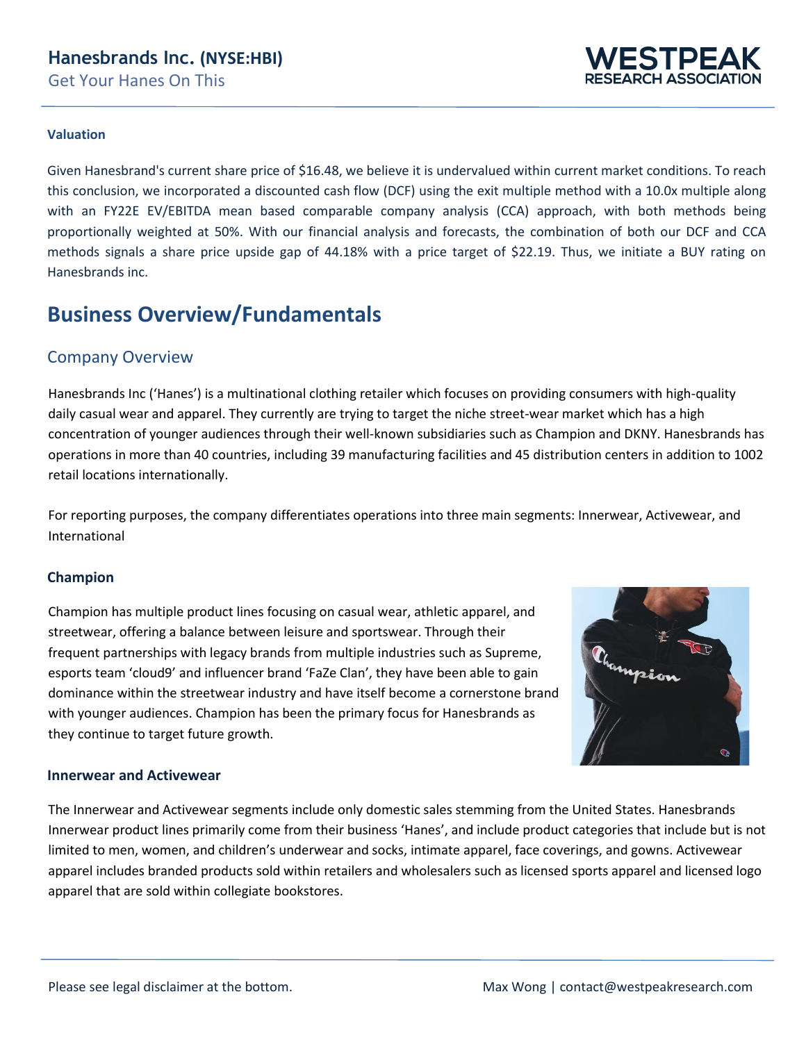

### **Valuation**

Given Hanesbrand's current share price of \$16.48, we believe it is undervalued within current market conditions. To reach this conclusion, we incorporated a discounted cash flow (DCF) using the exit multiple method with a 10.0x multiple along with an FY22E EV/EBITDA mean based comparable company analysis (CCA) approach, with both methods being proportionally weighted at 50%. With our financial analysis and forecasts, the combination of both our DCF and CCA methods signals a share price upside gap of 44.18% with a price target of \$22.19. Thus, we initiate a BUY rating on Hanesbrands inc.

## **Business Overview/Fundamentals**

### Company Overview

Hanesbrands Inc ('Hanes') is a multinational clothing retailer which focuses on providing consumers with high-quality daily casual wear and apparel. They currently are trying to target the niche street-wear market which has a high concentration of younger audiences through their well-known subsidiaries such as Champion and DKNY. Hanesbrands has operations in more than 40 countries, including 39 manufacturing facilities and 45 distribution centers in addition to 1002 retail locations internationally.

For reporting purposes, the company differentiates operations into three main segments: Innerwear, Activewear, and International

### **Champion**

Champion has multiple product lines focusing on casual wear, athletic apparel, and streetwear, offering a balance between leisure and sportswear. Through their frequent partnerships with legacy brands from multiple industries such as Supreme, esports team 'cloud9' and influencer brand 'FaZe Clan', they have been able to gain dominance within the streetwear industry and have itself become a cornerstone brand with younger audiences. Champion has been the primary focus for Hanesbrands as they continue to target future growth.



#### **Innerwear and Activewear**

The Innerwear and Activewear segments include only domestic sales stemming from the United States. Hanesbrands Innerwear product lines primarily come from their business 'Hanes', and include product categories that include but is not limited to men, women, and children's underwear and socks, intimate apparel, face coverings, and gowns. Activewear apparel includes branded products sold within retailers and wholesalers such as licensed sports apparel and licensed logo apparel that are sold within collegiate bookstores.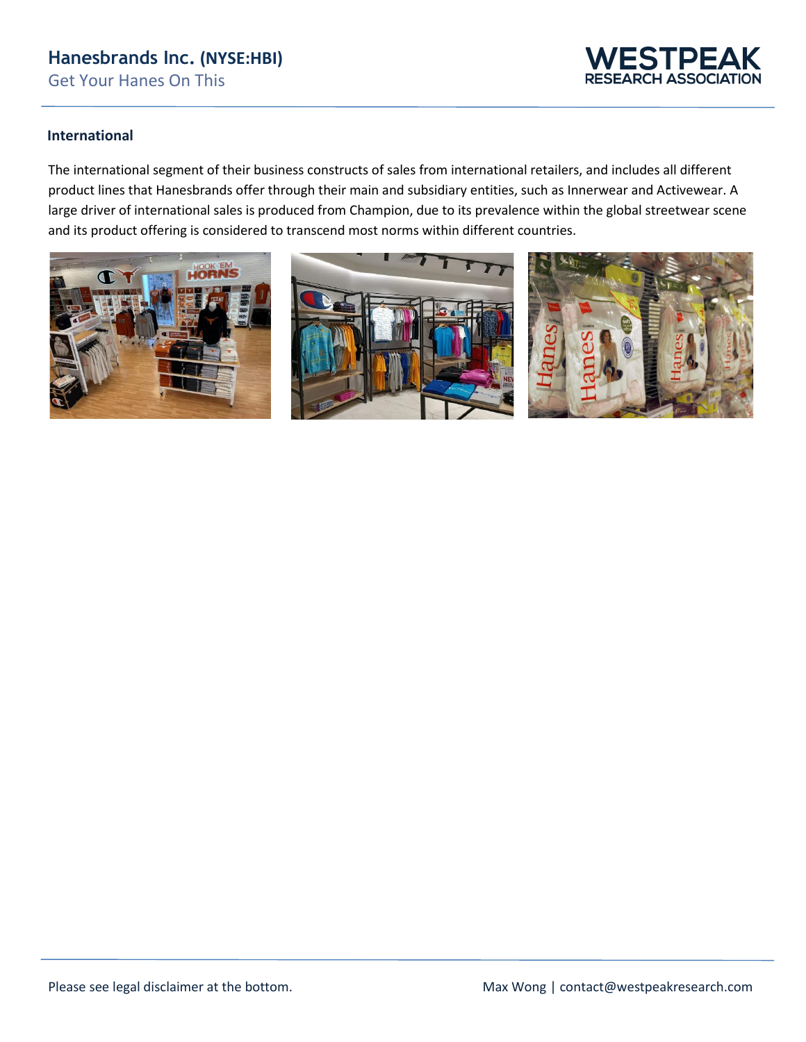

### **International**

The international segment of their business constructs of sales from international retailers, and includes all different product lines that Hanesbrands offer through their main and subsidiary entities, such as Innerwear and Activewear. A large driver of international sales is produced from Champion, due to its prevalence within the global streetwear scene and its product offering is considered to transcend most norms within different countries.

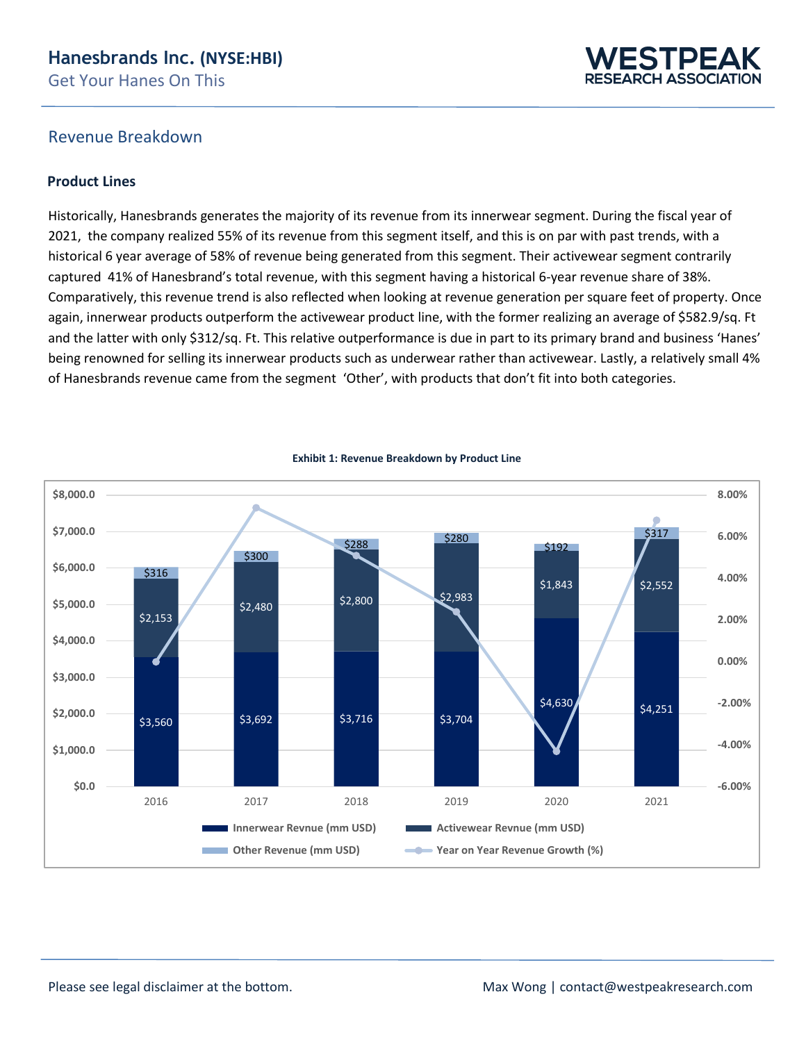

### Revenue Breakdown

### **Product Lines**

Historically, Hanesbrands generates the majority of its revenue from its innerwear segment. During the fiscal year of 2021, the company realized 55% of its revenue from this segment itself, and this is on par with past trends, with a historical 6 year average of 58% of revenue being generated from this segment. Their activewear segment contrarily captured 41% of Hanesbrand's total revenue, with this segment having a historical 6-year revenue share of 38%. Comparatively, this revenue trend is also reflected when looking at revenue generation per square feet of property. Once again, innerwear products outperform the activewear product line, with the former realizing an average of \$582.9/sq. Ft and the latter with only \$312/sq. Ft. This relative outperformance is due in part to its primary brand and business 'Hanes' being renowned for selling its innerwear products such as underwear rather than activewear. Lastly, a relatively small 4% of Hanesbrands revenue came from the segment 'Other', with products that don't fit into both categories.



**Exhibit 1: Revenue Breakdown by Product Line**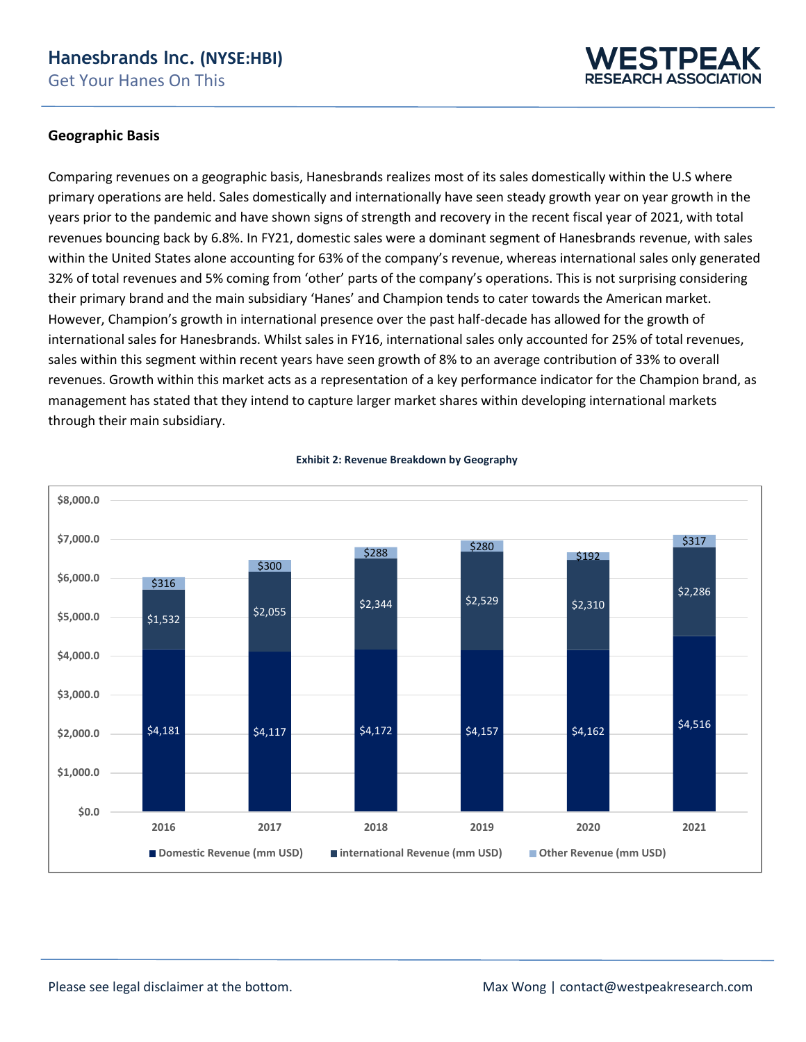

### **Geographic Basis**

Comparing revenues on a geographic basis, Hanesbrands realizes most of its sales domestically within the U.S where primary operations are held. Sales domestically and internationally have seen steady growth year on year growth in the years prior to the pandemic and have shown signs of strength and recovery in the recent fiscal year of 2021, with total revenues bouncing back by 6.8%. In FY21, domestic sales were a dominant segment of Hanesbrands revenue, with sales within the United States alone accounting for 63% of the company's revenue, whereas international sales only generated 32% of total revenues and 5% coming from 'other' parts of the company's operations. This is not surprising considering their primary brand and the main subsidiary 'Hanes' and Champion tends to cater towards the American market. However, Champion's growth in international presence over the past half-decade has allowed for the growth of international sales for Hanesbrands. Whilst sales in FY16, international sales only accounted for 25% of total revenues, sales within this segment within recent years have seen growth of 8% to an average contribution of 33% to overall revenues. Growth within this market acts as a representation of a key performance indicator for the Champion brand, as management has stated that they intend to capture larger market shares within developing international markets through their main subsidiary.



#### **Exhibit 2: Revenue Breakdown by Geography**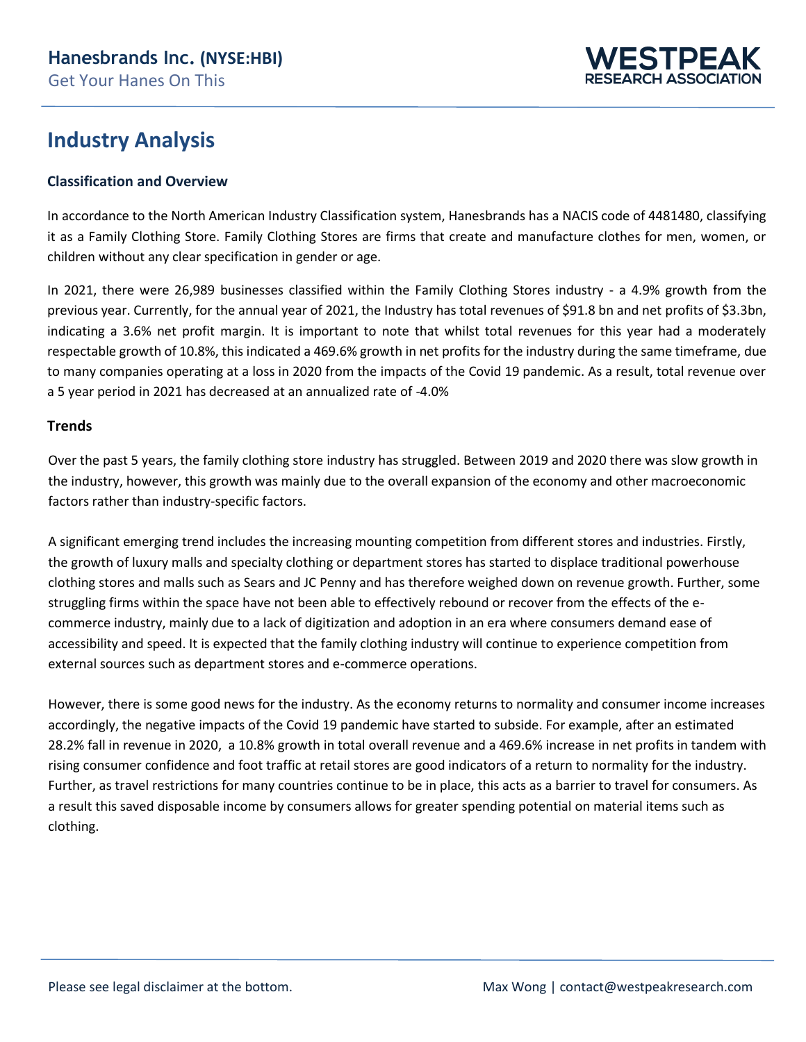

## **Industry Analysis**

### **Classification and Overview**

In accordance to the North American Industry Classification system, Hanesbrands has a NACIS code of 4481480, classifying it as a Family Clothing Store. Family Clothing Stores are firms that create and manufacture clothes for men, women, or children without any clear specification in gender or age.

In 2021, there were 26,989 businesses classified within the Family Clothing Stores industry - a 4.9% growth from the previous year. Currently, for the annual year of 2021, the Industry has total revenues of \$91.8 bn and net profits of \$3.3bn, indicating a 3.6% net profit margin. It is important to note that whilst total revenues for this year had a moderately respectable growth of 10.8%, this indicated a 469.6% growth in net profits for the industry during the same timeframe, due to many companies operating at a loss in 2020 from the impacts of the Covid 19 pandemic. As a result, total revenue over a 5 year period in 2021 has decreased at an annualized rate of -4.0%

### **Trends**

Over the past 5 years, the family clothing store industry has struggled. Between 2019 and 2020 there was slow growth in the industry, however, this growth was mainly due to the overall expansion of the economy and other macroeconomic factors rather than industry-specific factors.

A significant emerging trend includes the increasing mounting competition from different stores and industries. Firstly, the growth of luxury malls and specialty clothing or department stores has started to displace traditional powerhouse clothing stores and malls such as Sears and JC Penny and has therefore weighed down on revenue growth. Further, some struggling firms within the space have not been able to effectively rebound or recover from the effects of the ecommerce industry, mainly due to a lack of digitization and adoption in an era where consumers demand ease of accessibility and speed. It is expected that the family clothing industry will continue to experience competition from external sources such as department stores and e-commerce operations.

However, there is some good news for the industry. As the economy returns to normality and consumer income increases accordingly, the negative impacts of the Covid 19 pandemic have started to subside. For example, after an estimated 28.2% fall in revenue in 2020, a 10.8% growth in total overall revenue and a 469.6% increase in net profits in tandem with rising consumer confidence and foot traffic at retail stores are good indicators of a return to normality for the industry. Further, as travel restrictions for many countries continue to be in place, this acts as a barrier to travel for consumers. As a result this saved disposable income by consumers allows for greater spending potential on material items such as clothing.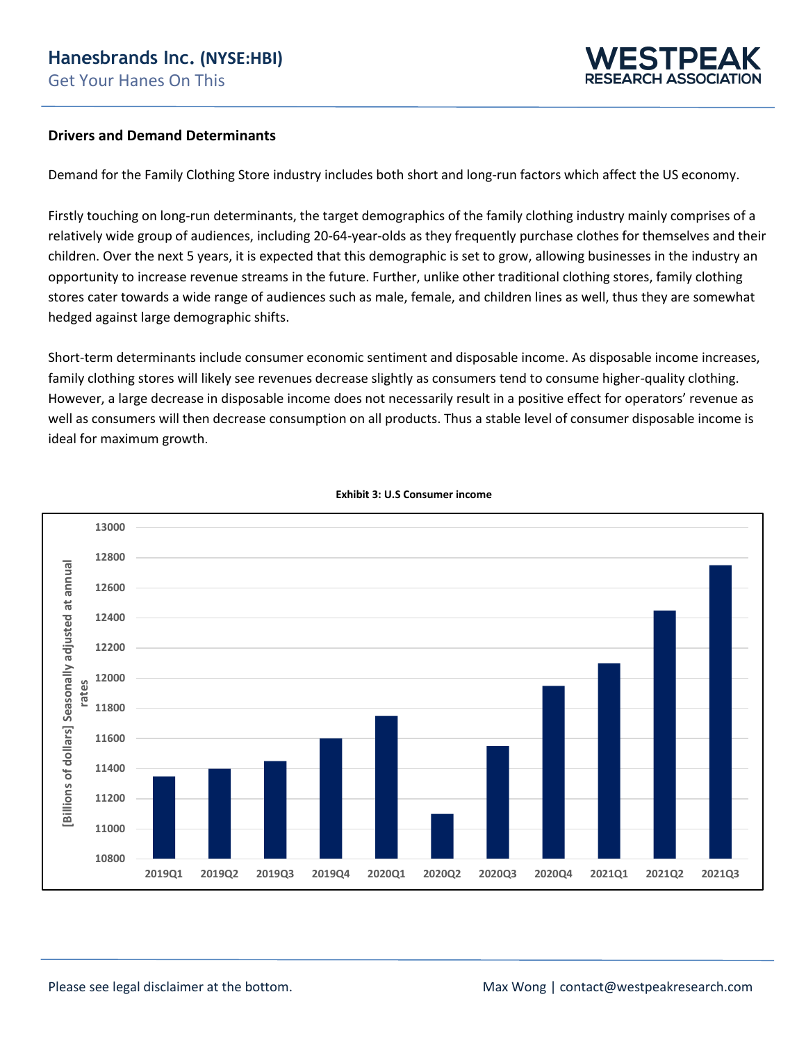

#### **Drivers and Demand Determinants**

Demand for the Family Clothing Store industry includes both short and long-run factors which affect the US economy.

Firstly touching on long-run determinants, the target demographics of the family clothing industry mainly comprises of a relatively wide group of audiences, including 20-64-year-olds as they frequently purchase clothes for themselves and their children. Over the next 5 years, it is expected that this demographic is set to grow, allowing businesses in the industry an opportunity to increase revenue streams in the future. Further, unlike other traditional clothing stores, family clothing stores cater towards a wide range of audiences such as male, female, and children lines as well, thus they are somewhat hedged against large demographic shifts.

Short-term determinants include consumer economic sentiment and disposable income. As disposable income increases, family clothing stores will likely see revenues decrease slightly as consumers tend to consume higher-quality clothing. However, a large decrease in disposable income does not necessarily result in a positive effect for operators' revenue as well as consumers will then decrease consumption on all products. Thus a stable level of consumer disposable income is ideal for maximum growth.



 **Exhibit 3: U.S Consumer income**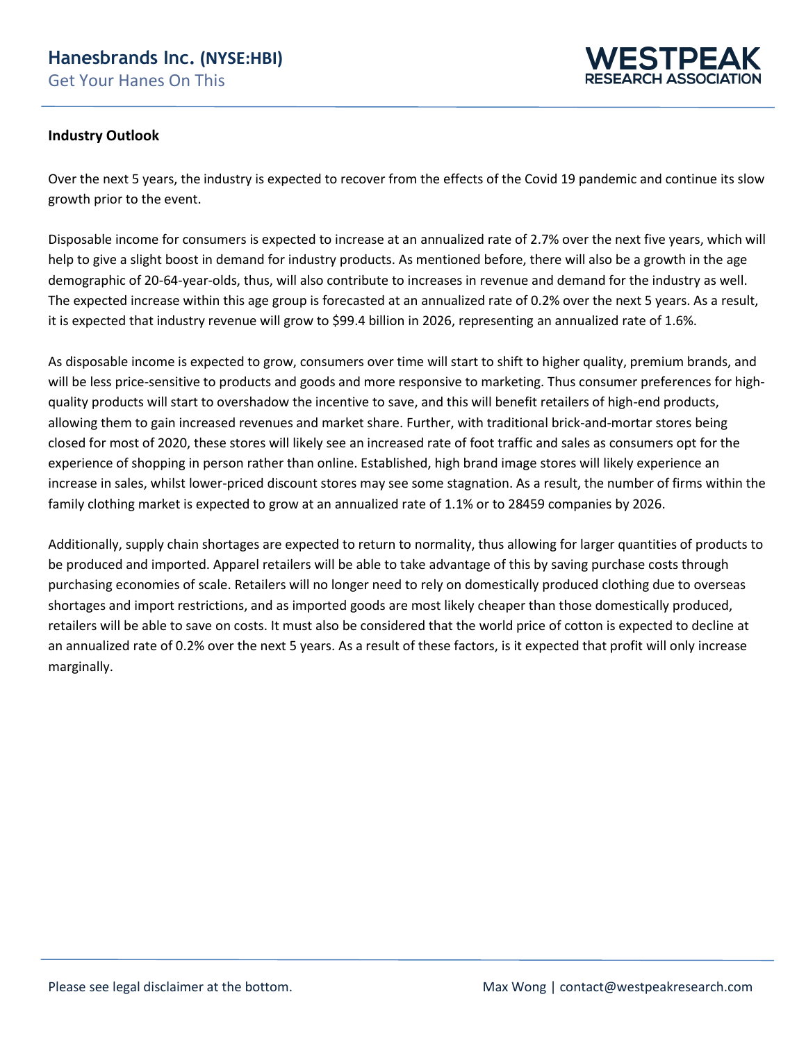

### **Industry Outlook**

Over the next 5 years, the industry is expected to recover from the effects of the Covid 19 pandemic and continue its slow growth prior to the event.

Disposable income for consumers is expected to increase at an annualized rate of 2.7% over the next five years, which will help to give a slight boost in demand for industry products. As mentioned before, there will also be a growth in the age demographic of 20-64-year-olds, thus, will also contribute to increases in revenue and demand for the industry as well. The expected increase within this age group is forecasted at an annualized rate of 0.2% over the next 5 years. As a result, it is expected that industry revenue will grow to \$99.4 billion in 2026, representing an annualized rate of 1.6%.

As disposable income is expected to grow, consumers over time will start to shift to higher quality, premium brands, and will be less price-sensitive to products and goods and more responsive to marketing. Thus consumer preferences for highquality products will start to overshadow the incentive to save, and this will benefit retailers of high-end products, allowing them to gain increased revenues and market share. Further, with traditional brick-and-mortar stores being closed for most of 2020, these stores will likely see an increased rate of foot traffic and sales as consumers opt for the experience of shopping in person rather than online. Established, high brand image stores will likely experience an increase in sales, whilst lower-priced discount stores may see some stagnation. As a result, the number of firms within the family clothing market is expected to grow at an annualized rate of 1.1% or to 28459 companies by 2026.

Additionally, supply chain shortages are expected to return to normality, thus allowing for larger quantities of products to be produced and imported. Apparel retailers will be able to take advantage of this by saving purchase costs through purchasing economies of scale. Retailers will no longer need to rely on domestically produced clothing due to overseas shortages and import restrictions, and as imported goods are most likely cheaper than those domestically produced, retailers will be able to save on costs. It must also be considered that the world price of cotton is expected to decline at an annualized rate of 0.2% over the next 5 years. As a result of these factors, is it expected that profit will only increase marginally.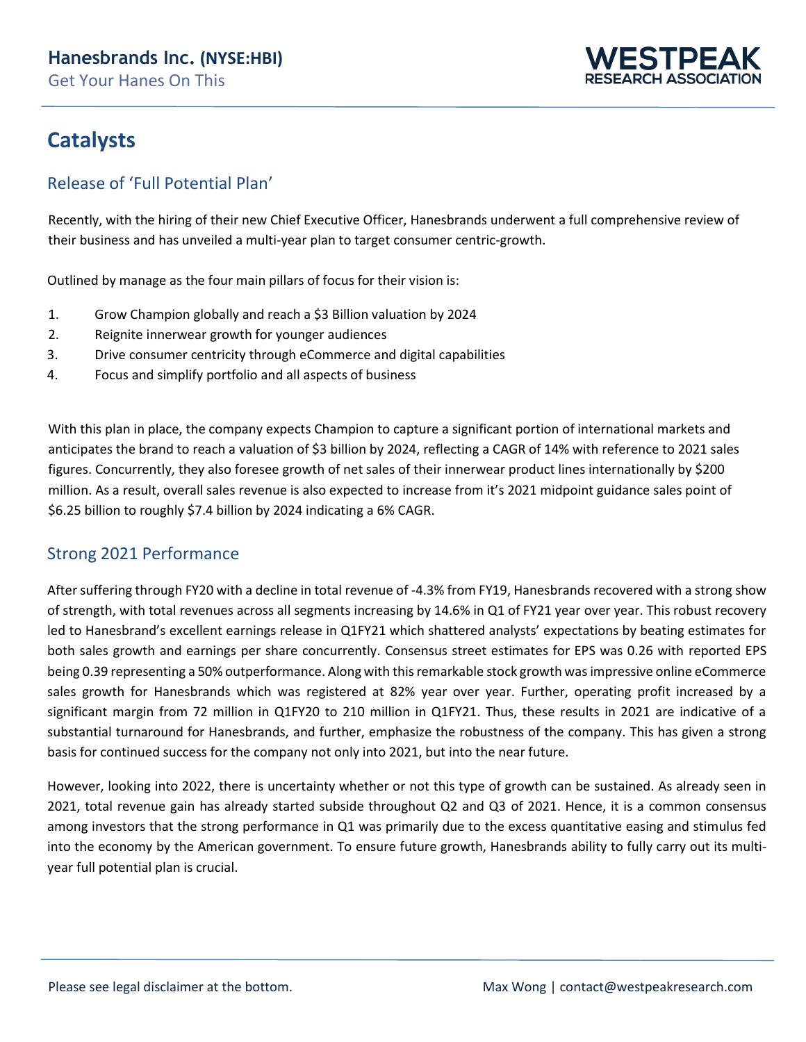

## **Catalysts**

### Release of 'Full Potential Plan'

Recently, with the hiring of their new Chief Executive Officer, Hanesbrands underwent a full comprehensive review of their business and has unveiled a multi-year plan to target consumer centric-growth.

Outlined by manage as the four main pillars of focus for their vision is:

- 1. Grow Champion globally and reach a \$3 Billion valuation by 2024
- 2. Reignite innerwear growth for younger audiences
- 3. Drive consumer centricity through eCommerce and digital capabilities
- 4. Focus and simplify portfolio and all aspects of business

With this plan in place, the company expects Champion to capture a significant portion of international markets and anticipates the brand to reach a valuation of \$3 billion by 2024, reflecting a CAGR of 14% with reference to 2021 sales figures. Concurrently, they also foresee growth of net sales of their innerwear product lines internationally by \$200 million. As a result, overall sales revenue is also expected to increase from it's 2021 midpoint guidance sales point of \$6.25 billion to roughly \$7.4 billion by 2024 indicating a 6% CAGR.

### Strong 2021 Performance

After suffering through FY20 with a decline in total revenue of -4.3% from FY19, Hanesbrands recovered with a strong show of strength, with total revenues across all segments increasing by 14.6% in Q1 of FY21 year over year. This robust recovery led to Hanesbrand's excellent earnings release in Q1FY21 which shattered analysts' expectations by beating estimates for both sales growth and earnings per share concurrently. Consensus street estimates for EPS was 0.26 with reported EPS being 0.39 representing a 50% outperformance. Along with this remarkable stock growth was impressive online eCommerce sales growth for Hanesbrands which was registered at 82% year over year. Further, operating profit increased by a significant margin from 72 million in Q1FY20 to 210 million in Q1FY21. Thus, these results in 2021 are indicative of a substantial turnaround for Hanesbrands, and further, emphasize the robustness of the company. This has given a strong basis for continued success for the company not only into 2021, but into the near future.

However, looking into 2022, there is uncertainty whether or not this type of growth can be sustained. As already seen in 2021, total revenue gain has already started subside throughout Q2 and Q3 of 2021. Hence, it is a common consensus among investors that the strong performance in Q1 was primarily due to the excess quantitative easing and stimulus fed into the economy by the American government. To ensure future growth, Hanesbrands ability to fully carry out its multiyear full potential plan is crucial.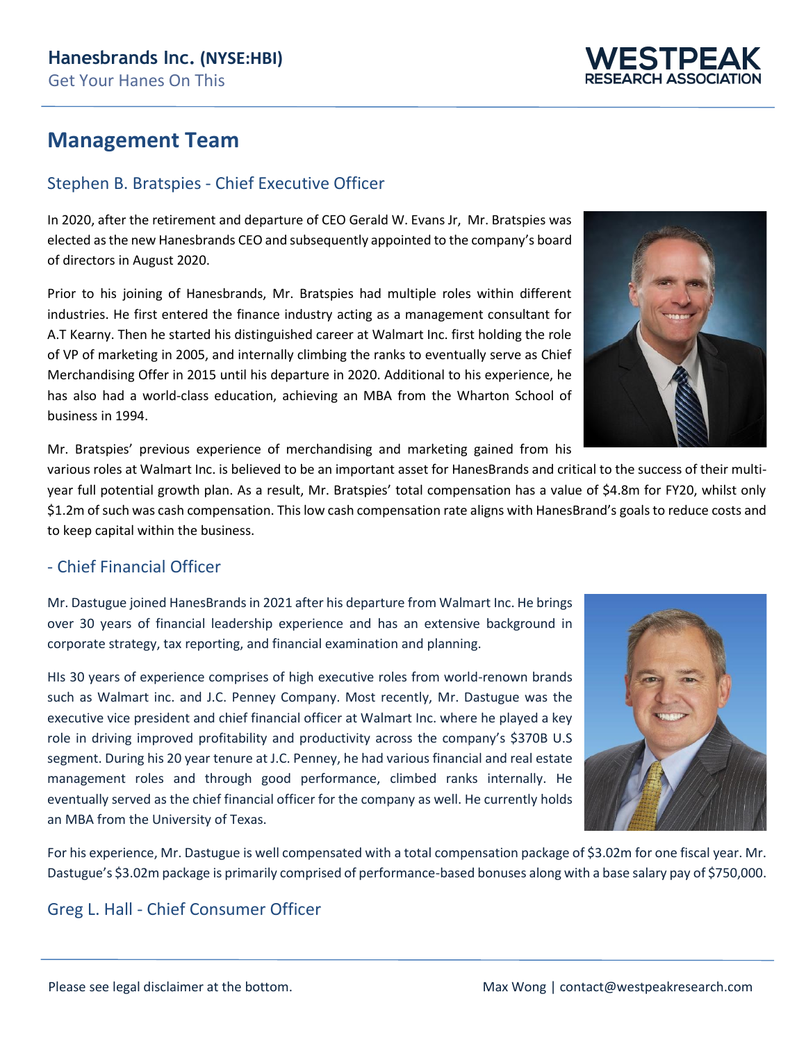

## **Management Team**

### Stephen B. Bratspies - Chief Executive Officer

In 2020, after the retirement and departure of CEO Gerald W. Evans Jr, Mr. Bratspies was elected as the new Hanesbrands CEO and subsequently appointed to the company's board of directors in August 2020.

Prior to his joining of Hanesbrands, Mr. Bratspies had multiple roles within different industries. He first entered the finance industry acting as a management consultant for A.T Kearny. Then he started his distinguished career at Walmart Inc. first holding the role of VP of marketing in 2005, and internally climbing the ranks to eventually serve as Chief Merchandising Offer in 2015 until his departure in 2020. Additional to his experience, he has also had a world-class education, achieving an MBA from the Wharton School of business in 1994.



Mr. Bratspies' previous experience of merchandising and marketing gained from his

various roles at Walmart Inc. is believed to be an important asset for HanesBrands and critical to the success of their multiyear full potential growth plan. As a result, Mr. Bratspies' total compensation has a value of \$4.8m for FY20, whilst only \$1.2m of such was cash compensation. This low cash compensation rate aligns with HanesBrand's goals to reduce costs and to keep capital within the business.

### - Chief Financial Officer

Mr. Dastugue joined HanesBrands in 2021 after his departure from Walmart Inc. He brings over 30 years of financial leadership experience and has an extensive background in corporate strategy, tax reporting, and financial examination and planning.

HIs 30 years of experience comprises of high executive roles from world-renown brands such as Walmart inc. and J.C. Penney Company. Most recently, Mr. Dastugue was the executive vice president and chief financial officer at Walmart Inc. where he played a key role in driving improved profitability and productivity across the company's \$370B U.S segment. During his 20 year tenure at J.C. Penney, he had various financial and real estate management roles and through good performance, climbed ranks internally. He eventually served as the chief financial officer for the company as well. He currently holds an MBA from the University of Texas.

For his experience, Mr. Dastugue is well compensated with a total compensation package of \$3.02m for one fiscal year. Mr. Dastugue's \$3.02m package is primarily comprised of performance-based bonuses along with a base salary pay of \$750,000.

### Greg L. Hall - Chief Consumer Officer

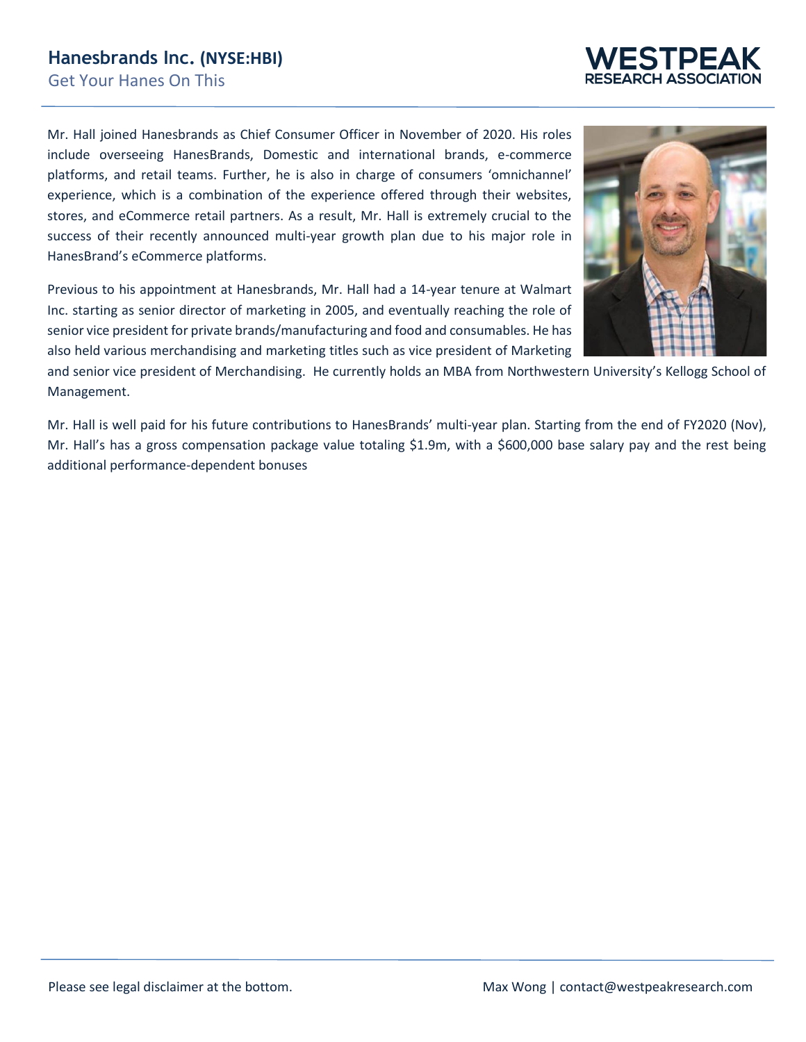Mr. Hall joined Hanesbrands as Chief Consumer Officer in November of 2020. His roles include overseeing HanesBrands, Domestic and international brands, e-commerce platforms, and retail teams. Further, he is also in charge of consumers 'omnichannel' experience, which is a combination of the experience offered through their websites, stores, and eCommerce retail partners. As a result, Mr. Hall is extremely crucial to the success of their recently announced multi-year growth plan due to his major role in HanesBrand's eCommerce platforms.

Previous to his appointment at Hanesbrands, Mr. Hall had a 14-year tenure at Walmart Inc. starting as senior director of marketing in 2005, and eventually reaching the role of senior vice president for private brands/manufacturing and food and consumables. He has also held various merchandising and marketing titles such as vice president of Marketing

and senior vice president of Merchandising. He currently holds an MBA from Northwestern University's Kellogg School of Management.

Mr. Hall is well paid for his future contributions to HanesBrands' multi-year plan. Starting from the end of FY2020 (Nov), Mr. Hall's has a gross compensation package value totaling \$1.9m, with a \$600,000 base salary pay and the rest being additional performance-dependent bonuses



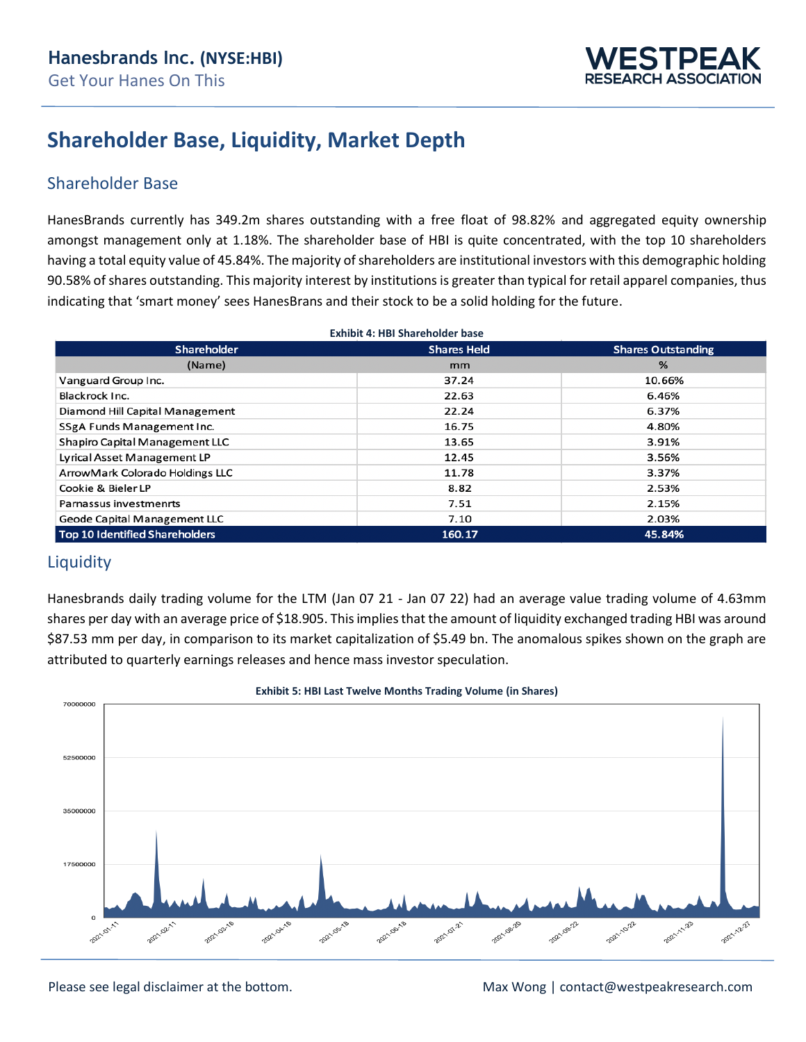

## **Shareholder Base, Liquidity, Market Depth**

### Shareholder Base

HanesBrands currently has 349.2m shares outstanding with a free float of 98.82% and aggregated equity ownership amongst management only at 1.18%. The shareholder base of HBI is quite concentrated, with the top 10 shareholders having a total equity value of 45.84%. The majority of shareholders are institutional investors with this demographic holding 90.58% of shares outstanding. This majority interest by institutions is greater than typical for retail apparel companies, thus indicating that 'smart money' sees HanesBrans and their stock to be a solid holding for the future.

| <b>Exhibit 4: HBI Shareholder base</b> |                                                 |        |  |  |  |  |  |  |  |
|----------------------------------------|-------------------------------------------------|--------|--|--|--|--|--|--|--|
| <b>Shareholder</b>                     | <b>Shares Held</b><br><b>Shares Outstanding</b> |        |  |  |  |  |  |  |  |
| (Name)                                 | mm                                              | %      |  |  |  |  |  |  |  |
| Vanguard Group Inc.                    | 37.24                                           | 10.66% |  |  |  |  |  |  |  |
| Blackrock Inc.                         | 22.63                                           | 6.46%  |  |  |  |  |  |  |  |
| Diamond Hill Capital Management        | 22.24                                           | 6.37%  |  |  |  |  |  |  |  |
| SSgA Funds Management Inc.             | 16.75                                           | 4.80%  |  |  |  |  |  |  |  |
| Shapiro Capital Management LLC         | 13.65                                           | 3.91%  |  |  |  |  |  |  |  |
| Lyrical Asset Management LP            | 12.45                                           | 3.56%  |  |  |  |  |  |  |  |
| ArrowMark Colorado Holdings LLC        | 11.78                                           | 3.37%  |  |  |  |  |  |  |  |
| Cookie & Bieler LP                     | 8.82                                            | 2.53%  |  |  |  |  |  |  |  |
| Parnassus investmenrts                 | 7.51                                            | 2.15%  |  |  |  |  |  |  |  |
| Geode Capital Management LLC           | 7.10                                            | 2.03%  |  |  |  |  |  |  |  |
| Top 10 Identified Shareholders         | 160.17                                          | 45.84% |  |  |  |  |  |  |  |

### **Liquidity**

Hanesbrands daily trading volume for the LTM (Jan 07 21 - Jan 07 22) had an average value trading volume of 4.63mm shares per day with an average price of \$18.905. This implies that the amount of liquidity exchanged trading HBI was around \$87.53 mm per day, in comparison to its market capitalization of \$5.49 bn. The anomalous spikes shown on the graph are attributed to quarterly earnings releases and hence mass investor speculation.



#### **Exhibit 5: HBI Last Twelve Months Trading Volume (in Shares)**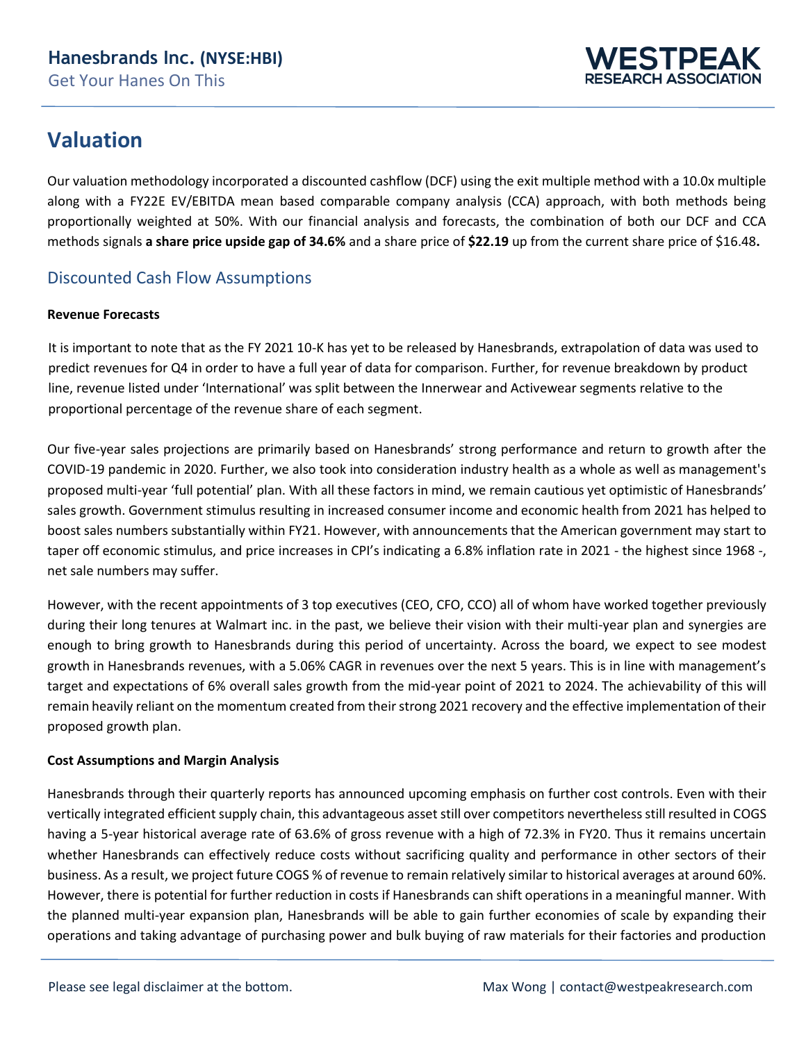

## **Valuation**

Our valuation methodology incorporated a discounted cashflow (DCF) using the exit multiple method with a 10.0x multiple along with a FY22E EV/EBITDA mean based comparable company analysis (CCA) approach, with both methods being proportionally weighted at 50%. With our financial analysis and forecasts, the combination of both our DCF and CCA methods signals **a share price upside gap of 34.6%** and a share price of **\$22.19** up from the current share price of \$16.48**.** 

### Discounted Cash Flow Assumptions

### **Revenue Forecasts**

It is important to note that as the FY 2021 10-K has yet to be released by Hanesbrands, extrapolation of data was used to predict revenues for Q4 in order to have a full year of data for comparison. Further, for revenue breakdown by product line, revenue listed under 'International' was split between the Innerwear and Activewear segments relative to the proportional percentage of the revenue share of each segment.

Our five-year sales projections are primarily based on Hanesbrands' strong performance and return to growth after the COVID-19 pandemic in 2020. Further, we also took into consideration industry health as a whole as well as management's proposed multi-year 'full potential' plan. With all these factors in mind, we remain cautious yet optimistic of Hanesbrands' sales growth. Government stimulus resulting in increased consumer income and economic health from 2021 has helped to boost sales numbers substantially within FY21. However, with announcements that the American government may start to taper off economic stimulus, and price increases in CPI's indicating a 6.8% inflation rate in 2021 - the highest since 1968 -, net sale numbers may suffer.

However, with the recent appointments of 3 top executives (CEO, CFO, CCO) all of whom have worked together previously during their long tenures at Walmart inc. in the past, we believe their vision with their multi-year plan and synergies are enough to bring growth to Hanesbrands during this period of uncertainty. Across the board, we expect to see modest growth in Hanesbrands revenues, with a 5.06% CAGR in revenues over the next 5 years. This is in line with management's target and expectations of 6% overall sales growth from the mid-year point of 2021 to 2024. The achievability of this will remain heavily reliant on the momentum created from their strong 2021 recovery and the effective implementation of their proposed growth plan.

### **Cost Assumptions and Margin Analysis**

Hanesbrands through their quarterly reports has announced upcoming emphasis on further cost controls. Even with their vertically integrated efficient supply chain, this advantageous asset still over competitors nevertheless still resulted in COGS having a 5-year historical average rate of 63.6% of gross revenue with a high of 72.3% in FY20. Thus it remains uncertain whether Hanesbrands can effectively reduce costs without sacrificing quality and performance in other sectors of their business. As a result, we project future COGS % of revenue to remain relatively similar to historical averages at around 60%. However, there is potential for further reduction in costs if Hanesbrands can shift operations in a meaningful manner. With the planned multi-year expansion plan, Hanesbrands will be able to gain further economies of scale by expanding their operations and taking advantage of purchasing power and bulk buying of raw materials for their factories and production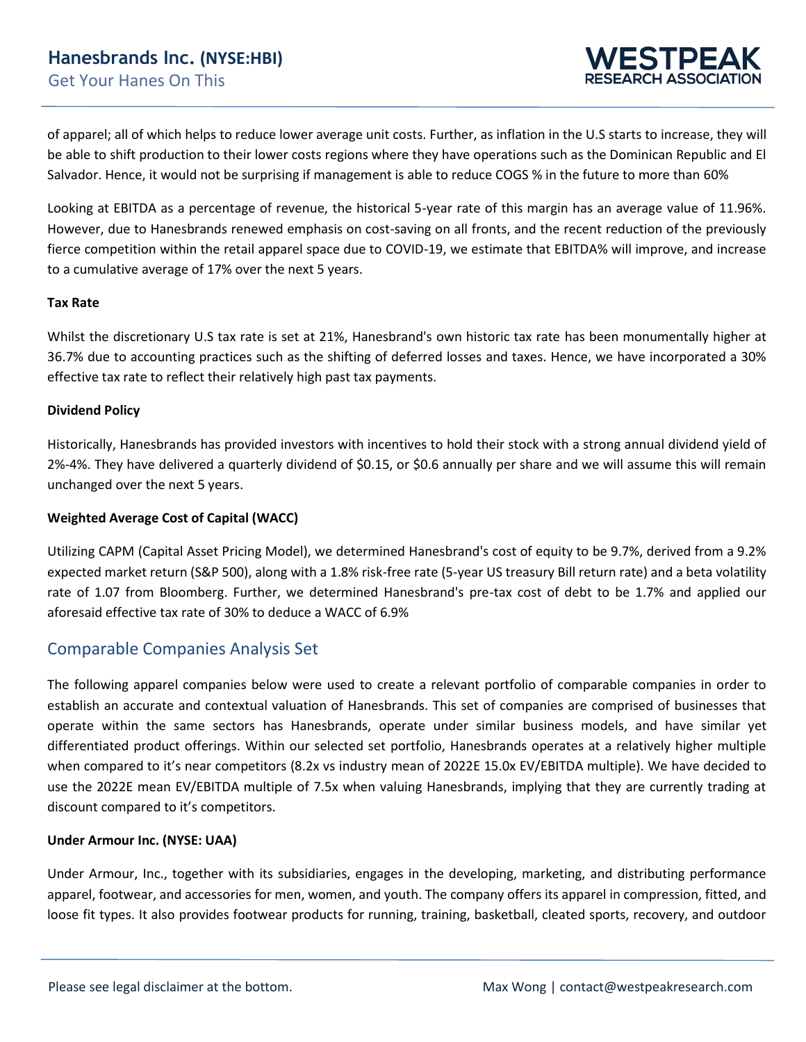

of apparel; all of which helps to reduce lower average unit costs. Further, as inflation in the U.S starts to increase, they will be able to shift production to their lower costs regions where they have operations such as the Dominican Republic and El Salvador. Hence, it would not be surprising if management is able to reduce COGS % in the future to more than 60%

Looking at EBITDA as a percentage of revenue, the historical 5-year rate of this margin has an average value of 11.96%. However, due to Hanesbrands renewed emphasis on cost-saving on all fronts, and the recent reduction of the previously fierce competition within the retail apparel space due to COVID-19, we estimate that EBITDA% will improve, and increase to a cumulative average of 17% over the next 5 years.

#### **Tax Rate**

Whilst the discretionary U.S tax rate is set at 21%, Hanesbrand's own historic tax rate has been monumentally higher at 36.7% due to accounting practices such as the shifting of deferred losses and taxes. Hence, we have incorporated a 30% effective tax rate to reflect their relatively high past tax payments.

#### **Dividend Policy**

Historically, Hanesbrands has provided investors with incentives to hold their stock with a strong annual dividend yield of 2%-4%. They have delivered a quarterly dividend of \$0.15, or \$0.6 annually per share and we will assume this will remain unchanged over the next 5 years.

### **Weighted Average Cost of Capital (WACC)**

Utilizing CAPM (Capital Asset Pricing Model), we determined Hanesbrand's cost of equity to be 9.7%, derived from a 9.2% expected market return (S&P 500), along with a 1.8% risk-free rate (5-year US treasury Bill return rate) and a beta volatility rate of 1.07 from Bloomberg. Further, we determined Hanesbrand's pre-tax cost of debt to be 1.7% and applied our aforesaid effective tax rate of 30% to deduce a WACC of 6.9%

### Comparable Companies Analysis Set

The following apparel companies below were used to create a relevant portfolio of comparable companies in order to establish an accurate and contextual valuation of Hanesbrands. This set of companies are comprised of businesses that operate within the same sectors has Hanesbrands, operate under similar business models, and have similar yet differentiated product offerings. Within our selected set portfolio, Hanesbrands operates at a relatively higher multiple when compared to it's near competitors (8.2x vs industry mean of 2022E 15.0x EV/EBITDA multiple). We have decided to use the 2022E mean EV/EBITDA multiple of 7.5x when valuing Hanesbrands, implying that they are currently trading at discount compared to it's competitors.

#### **Under Armour Inc. (NYSE: UAA)**

Under Armour, Inc., together with its subsidiaries, engages in the developing, marketing, and distributing performance apparel, footwear, and accessories for men, women, and youth. The company offers its apparel in compression, fitted, and loose fit types. It also provides footwear products for running, training, basketball, cleated sports, recovery, and outdoor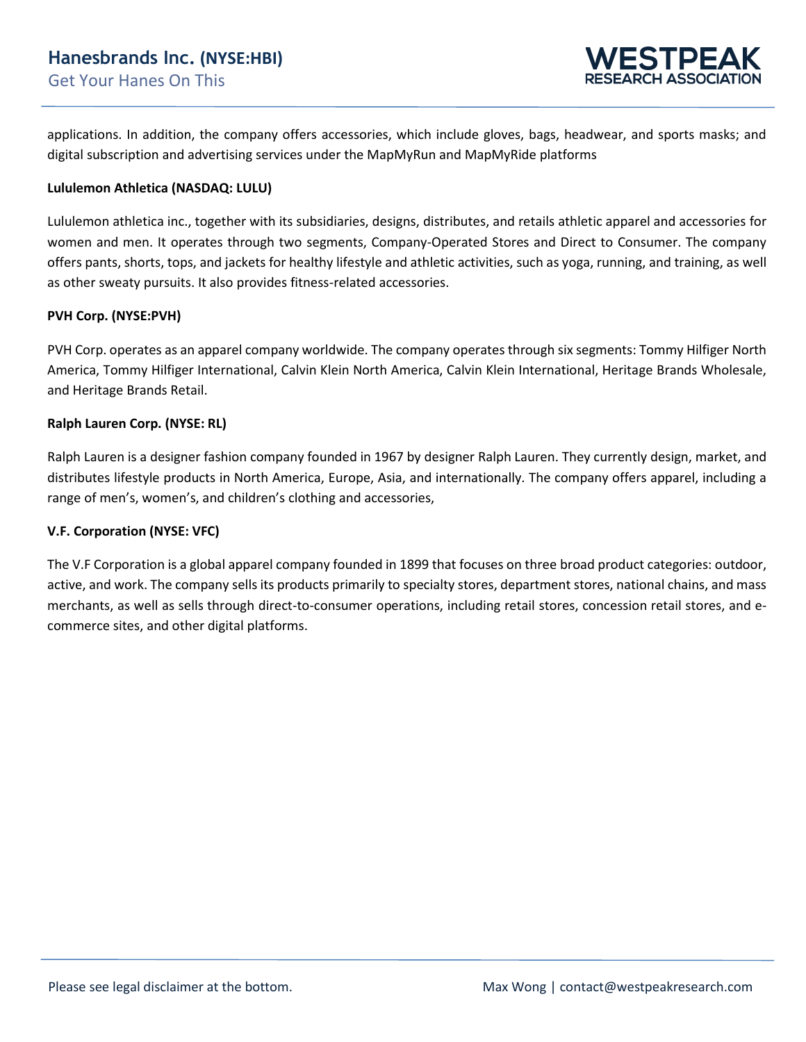

applications. In addition, the company offers accessories, which include gloves, bags, headwear, and sports masks; and digital subscription and advertising services under the MapMyRun and MapMyRide platforms

### **Lululemon Athletica (NASDAQ: LULU)**

Lululemon athletica inc., together with its subsidiaries, designs, distributes, and retails athletic apparel and accessories for women and men. It operates through two segments, Company-Operated Stores and Direct to Consumer. The company offers pants, shorts, tops, and jackets for healthy lifestyle and athletic activities, such as yoga, running, and training, as well as other sweaty pursuits. It also provides fitness-related accessories.

#### **PVH Corp. (NYSE:PVH)**

PVH Corp. operates as an apparel company worldwide. The company operates through six segments: Tommy Hilfiger North America, Tommy Hilfiger International, Calvin Klein North America, Calvin Klein International, Heritage Brands Wholesale, and Heritage Brands Retail.

#### **Ralph Lauren Corp. (NYSE: RL)**

Ralph Lauren is a designer fashion company founded in 1967 by designer Ralph Lauren. They currently design, market, and distributes lifestyle products in North America, Europe, Asia, and internationally. The company offers apparel, including a range of men's, women's, and children's clothing and accessories,

### **V.F. Corporation (NYSE: VFC)**

The V.F Corporation is a global apparel company founded in 1899 that focuses on three broad product categories: outdoor, active, and work. The company sells its products primarily to specialty stores, department stores, national chains, and mass merchants, as well as sells through direct-to-consumer operations, including retail stores, concession retail stores, and ecommerce sites, and other digital platforms.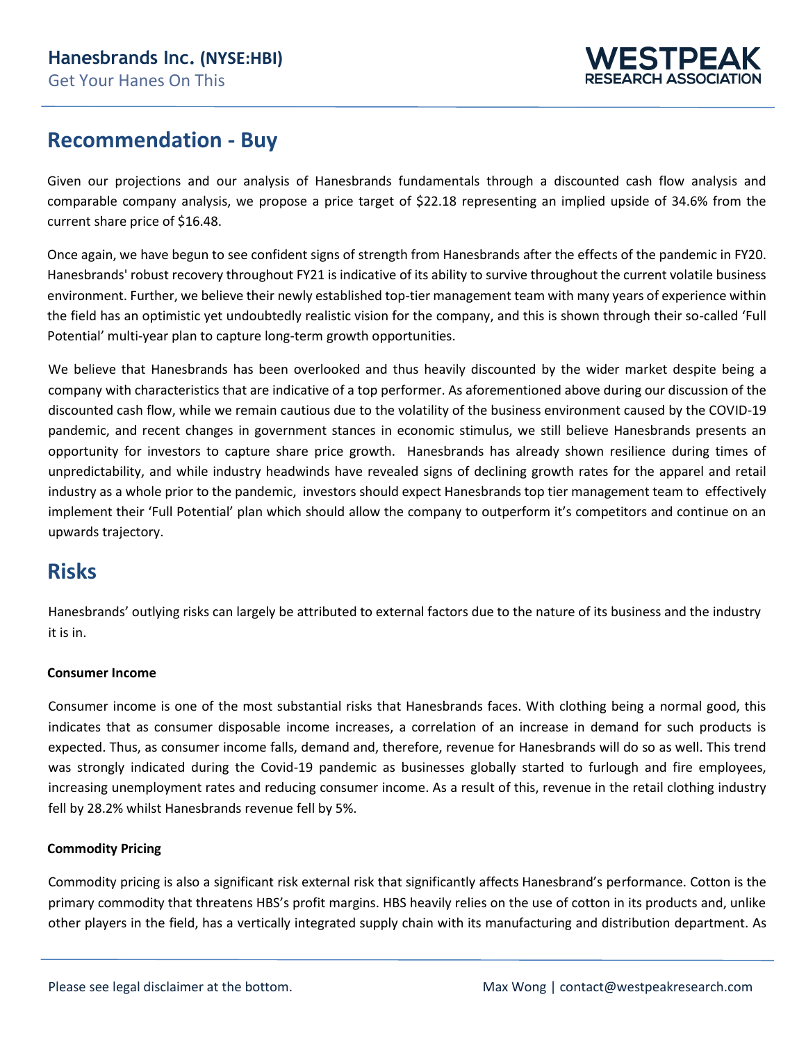

## **Recommendation - Buy**

Given our projections and our analysis of Hanesbrands fundamentals through a discounted cash flow analysis and comparable company analysis, we propose a price target of \$22.18 representing an implied upside of 34.6% from the current share price of \$16.48.

Once again, we have begun to see confident signs of strength from Hanesbrands after the effects of the pandemic in FY20. Hanesbrands' robust recovery throughout FY21 is indicative of its ability to survive throughout the current volatile business environment. Further, we believe their newly established top-tier management team with many years of experience within the field has an optimistic yet undoubtedly realistic vision for the company, and this is shown through their so-called 'Full Potential' multi-year plan to capture long-term growth opportunities.

We believe that Hanesbrands has been overlooked and thus heavily discounted by the wider market despite being a company with characteristics that are indicative of a top performer. As aforementioned above during our discussion of the discounted cash flow, while we remain cautious due to the volatility of the business environment caused by the COVID-19 pandemic, and recent changes in government stances in economic stimulus, we still believe Hanesbrands presents an opportunity for investors to capture share price growth. Hanesbrands has already shown resilience during times of unpredictability, and while industry headwinds have revealed signs of declining growth rates for the apparel and retail industry as a whole prior to the pandemic, investors should expect Hanesbrands top tier management team to effectively implement their 'Full Potential' plan which should allow the company to outperform it's competitors and continue on an upwards trajectory.

## **Risks**

Hanesbrands' outlying risks can largely be attributed to external factors due to the nature of its business and the industry it is in.

### **Consumer Income**

Consumer income is one of the most substantial risks that Hanesbrands faces. With clothing being a normal good, this indicates that as consumer disposable income increases, a correlation of an increase in demand for such products is expected. Thus, as consumer income falls, demand and, therefore, revenue for Hanesbrands will do so as well. This trend was strongly indicated during the Covid-19 pandemic as businesses globally started to furlough and fire employees, increasing unemployment rates and reducing consumer income. As a result of this, revenue in the retail clothing industry fell by 28.2% whilst Hanesbrands revenue fell by 5%.

### **Commodity Pricing**

Commodity pricing is also a significant risk external risk that significantly affects Hanesbrand's performance. Cotton is the primary commodity that threatens HBS's profit margins. HBS heavily relies on the use of cotton in its products and, unlike other players in the field, has a vertically integrated supply chain with its manufacturing and distribution department. As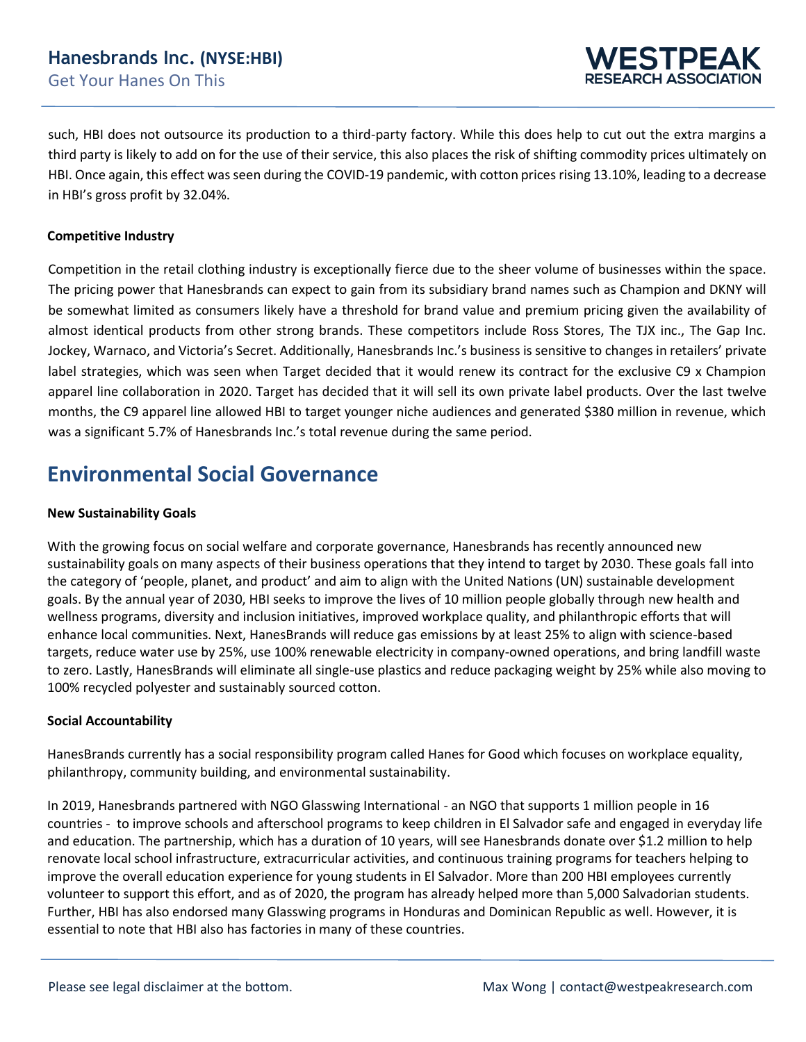

such, HBI does not outsource its production to a third-party factory. While this does help to cut out the extra margins a third party is likely to add on for the use of their service, this also places the risk of shifting commodity prices ultimately on HBI. Once again, this effect was seen during the COVID-19 pandemic, with cotton prices rising 13.10%, leading to a decrease in HBI's gross profit by 32.04%.

### **Competitive Industry**

Competition in the retail clothing industry is exceptionally fierce due to the sheer volume of businesses within the space. The pricing power that Hanesbrands can expect to gain from its subsidiary brand names such as Champion and DKNY will be somewhat limited as consumers likely have a threshold for brand value and premium pricing given the availability of almost identical products from other strong brands. These competitors include Ross Stores, The TJX inc., The Gap Inc. Jockey, Warnaco, and Victoria's Secret. Additionally, Hanesbrands Inc.'s business is sensitive to changes in retailers' private label strategies, which was seen when Target decided that it would renew its contract for the exclusive C9 x Champion apparel line collaboration in 2020. Target has decided that it will sell its own private label products. Over the last twelve months, the C9 apparel line allowed HBI to target younger niche audiences and generated \$380 million in revenue, which was a significant 5.7% of Hanesbrands Inc.'s total revenue during the same period.

## **Environmental Social Governance**

#### **New Sustainability Goals**

With the growing focus on social welfare and corporate governance, Hanesbrands has recently announced new sustainability goals on many aspects of their business operations that they intend to target by 2030. These goals fall into the category of 'people, planet, and product' and aim to align with the United Nations (UN) sustainable development goals. By the annual year of 2030, HBI seeks to improve the lives of 10 million people globally through new health and wellness programs, diversity and inclusion initiatives, improved workplace quality, and philanthropic efforts that will enhance local communities. Next, HanesBrands will reduce gas emissions by at least 25% to align with science-based targets, reduce water use by 25%, use 100% renewable electricity in company-owned operations, and bring landfill waste to zero. Lastly, HanesBrands will eliminate all single-use plastics and reduce packaging weight by 25% while also moving to 100% recycled polyester and sustainably sourced cotton.

#### **Social Accountability**

HanesBrands currently has a social responsibility program called Hanes for Good which focuses on workplace equality, philanthropy, community building, and environmental sustainability.

In 2019, Hanesbrands partnered with NGO Glasswing International - an NGO that supports 1 million people in 16 countries - to improve schools and afterschool programs to keep children in El Salvador safe and engaged in everyday life and education. The partnership, which has a duration of 10 years, will see Hanesbrands donate over \$1.2 million to help renovate local school infrastructure, extracurricular activities, and continuous training programs for teachers helping to improve the overall education experience for young students in El Salvador. More than 200 HBI employees currently volunteer to support this effort, and as of 2020, the program has already helped more than 5,000 Salvadorian students. Further, HBI has also endorsed many Glasswing programs in Honduras and Dominican Republic as well. However, it is essential to note that HBI also has factories in many of these countries.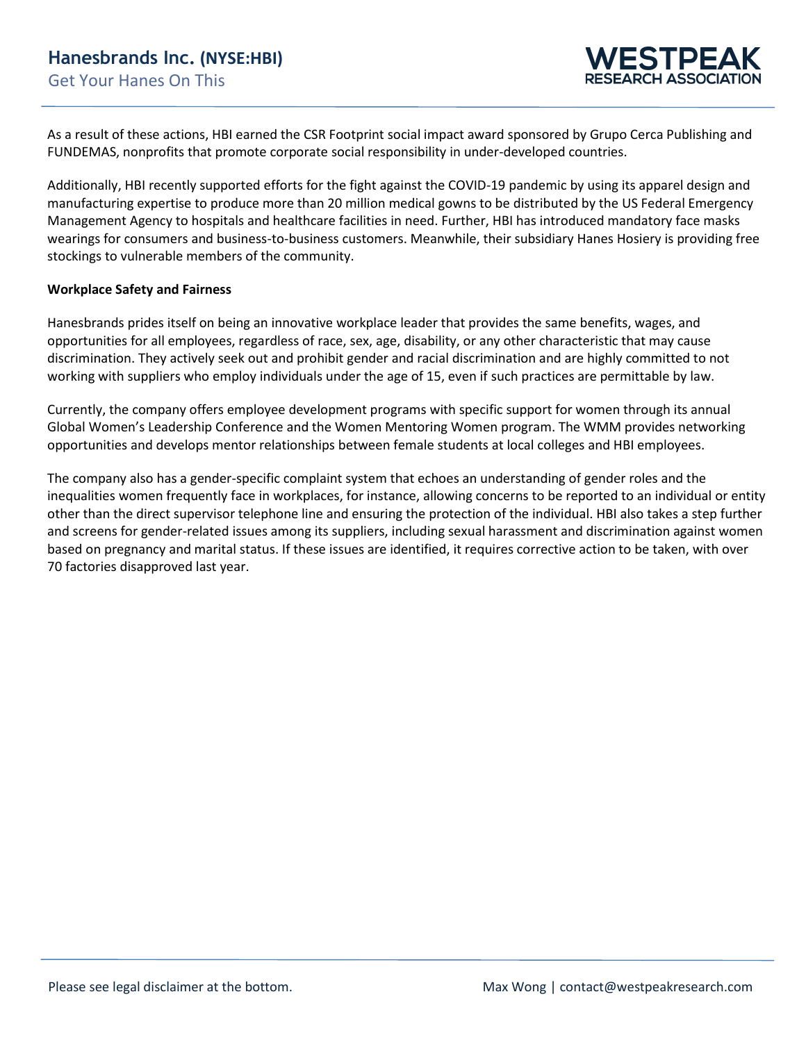As a result of these actions, HBI earned the CSR Footprint social impact award sponsored by Grupo Cerca Publishing and FUNDEMAS, nonprofits that promote corporate social responsibility in under-developed countries.

Additionally, HBI recently supported efforts for the fight against the COVID-19 pandemic by using its apparel design and manufacturing expertise to produce more than 20 million medical gowns to be distributed by the US Federal Emergency Management Agency to hospitals and healthcare facilities in need. Further, HBI has introduced mandatory face masks wearings for consumers and business-to-business customers. Meanwhile, their subsidiary Hanes Hosiery is providing free stockings to vulnerable members of the community.

#### **Workplace Safety and Fairness**

Hanesbrands prides itself on being an innovative workplace leader that provides the same benefits, wages, and opportunities for all employees, regardless of race, sex, age, disability, or any other characteristic that may cause discrimination. They actively seek out and prohibit gender and racial discrimination and are highly committed to not working with suppliers who employ individuals under the age of 15, even if such practices are permittable by law.

Currently, the company offers employee development programs with specific support for women through its annual Global Women's Leadership Conference and the Women Mentoring Women program. The WMM provides networking opportunities and develops mentor relationships between female students at local colleges and HBI employees.

The company also has a gender-specific complaint system that echoes an understanding of gender roles and the inequalities women frequently face in workplaces, for instance, allowing concerns to be reported to an individual or entity other than the direct supervisor telephone line and ensuring the protection of the individual. HBI also takes a step further and screens for gender-related issues among its suppliers, including sexual harassment and discrimination against women based on pregnancy and marital status. If these issues are identified, it requires corrective action to be taken, with over 70 factories disapproved last year.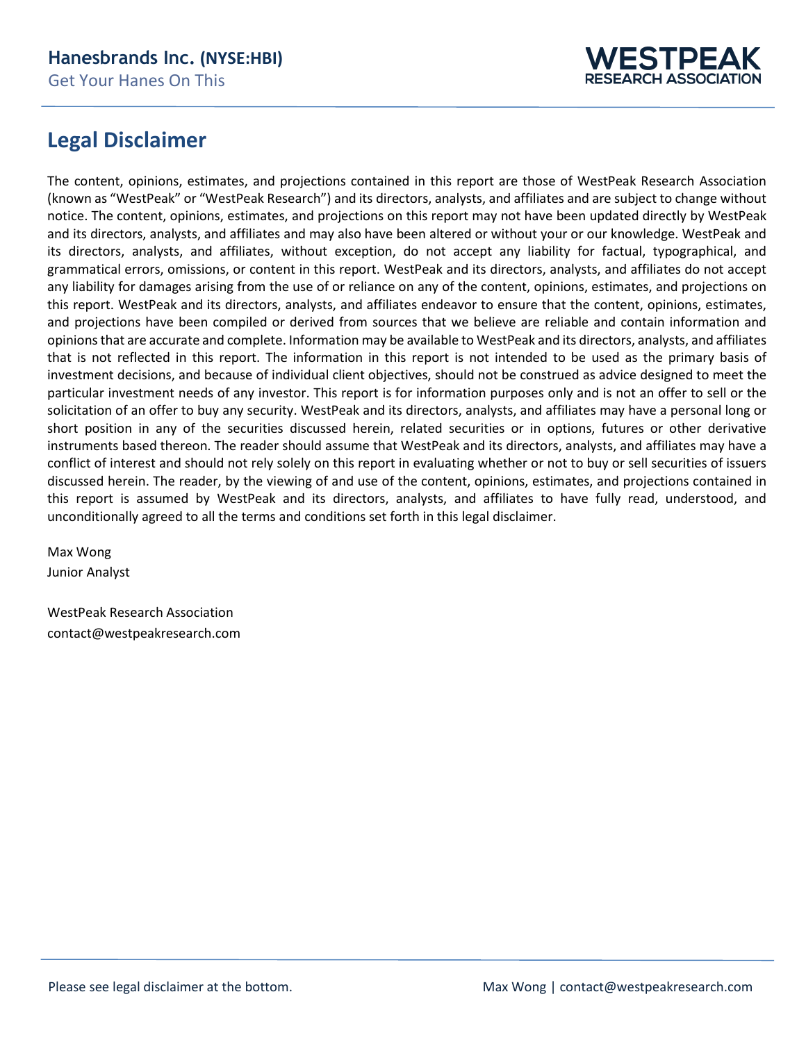

## **Legal Disclaimer**

The content, opinions, estimates, and projections contained in this report are those of WestPeak Research Association (known as "WestPeak" or "WestPeak Research") and its directors, analysts, and affiliates and are subject to change without notice. The content, opinions, estimates, and projections on this report may not have been updated directly by WestPeak and its directors, analysts, and affiliates and may also have been altered or without your or our knowledge. WestPeak and its directors, analysts, and affiliates, without exception, do not accept any liability for factual, typographical, and grammatical errors, omissions, or content in this report. WestPeak and its directors, analysts, and affiliates do not accept any liability for damages arising from the use of or reliance on any of the content, opinions, estimates, and projections on this report. WestPeak and its directors, analysts, and affiliates endeavor to ensure that the content, opinions, estimates, and projections have been compiled or derived from sources that we believe are reliable and contain information and opinionsthat are accurate and complete. Information may be available to WestPeak and its directors, analysts, and affiliates that is not reflected in this report. The information in this report is not intended to be used as the primary basis of investment decisions, and because of individual client objectives, should not be construed as advice designed to meet the particular investment needs of any investor. This report is for information purposes only and is not an offer to sell or the solicitation of an offer to buy any security. WestPeak and its directors, analysts, and affiliates may have a personal long or short position in any of the securities discussed herein, related securities or in options, futures or other derivative instruments based thereon. The reader should assume that WestPeak and its directors, analysts, and affiliates may have a conflict of interest and should not rely solely on this report in evaluating whether or not to buy or sell securities of issuers discussed herein. The reader, by the viewing of and use of the content, opinions, estimates, and projections contained in this report is assumed by WestPeak and its directors, analysts, and affiliates to have fully read, understood, and unconditionally agreed to all the terms and conditions set forth in this legal disclaimer.

Max Wong Junior Analyst

WestPeak Research Association contact@westpeakresearch.com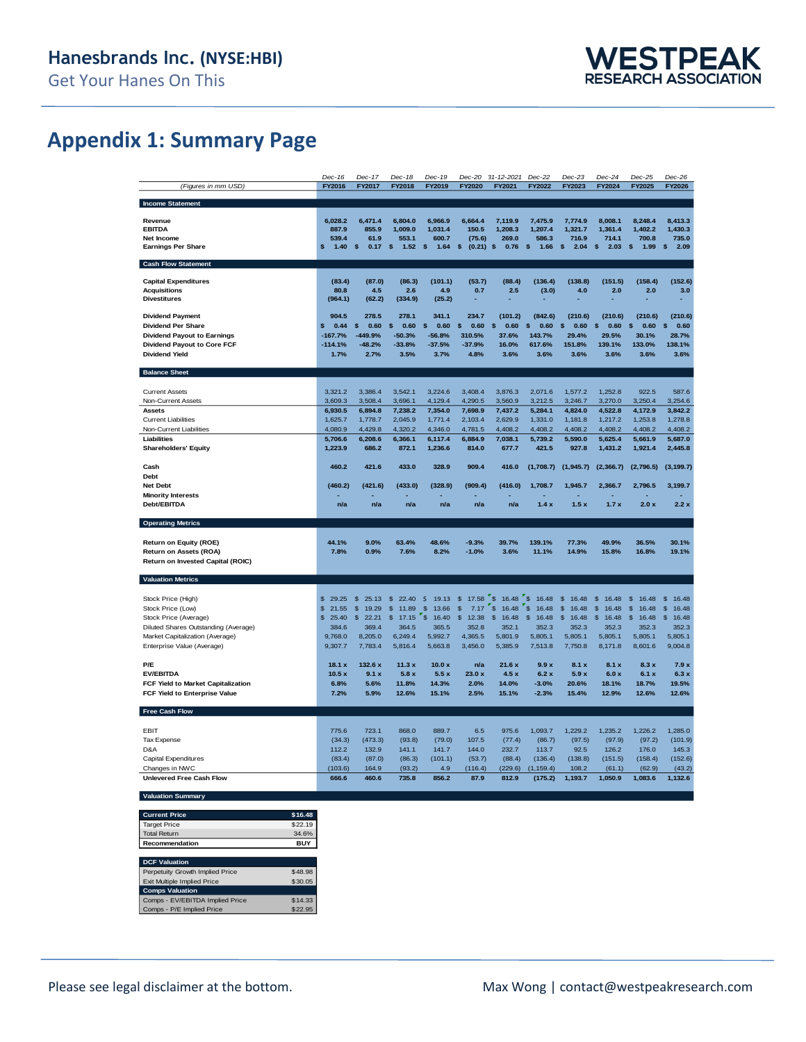## **Appendix 1: Summary Page**

|                                      | $Dec-16$                | Dec-17                  | Dec-18      | Dec-19                  | Dec-20               | 31-12-2021             | $Dec-22$               | $Dec-23$              | $Dec-24$               | $Dec-25$    | $Dec-26$              |
|--------------------------------------|-------------------------|-------------------------|-------------|-------------------------|----------------------|------------------------|------------------------|-----------------------|------------------------|-------------|-----------------------|
| (Figures in mm USD)                  | FY2016                  | FY2017                  | FY2018      | FY2019                  | FY2020               | FY2021                 | FY2022                 | FY2023                | FY2024                 | FY2025      | FY2026                |
|                                      |                         |                         |             |                         |                      |                        |                        |                       |                        |             |                       |
| <b>Income Statement</b>              |                         |                         |             |                         |                      |                        |                        |                       |                        |             |                       |
|                                      |                         |                         |             |                         |                      |                        |                        |                       |                        |             |                       |
| Revenue                              | 6,028.2                 | 6,471.4                 | 6,804.0     | 6,966.9                 | 6,664.4              | 7,119.9                | 7,475.9                | 7.774.9               | 8,008.1                | 8,248.4     | 8,413.3               |
| <b>EBITDA</b>                        | 887.9                   | 855.9                   | 1,009.0     | 1,031.4                 | 150.5                | 1,208.3                | 1,207.4                | 1,321.7               | 1,361.4                | 1,402.2     | 1,430.3               |
| Net Income                           | 539.4                   | 61.9                    | 553.1       | 600.7                   | (75.6)               | 269.0                  | 586.3                  | 716.9                 | 714.1                  | 700.8       | 735.0                 |
| <b>Earnings Per Share</b>            | \$<br>1.40              | \$<br>0.17              | \$<br>1.52  | S.<br>1.64              | \$<br>(0.21)         | \$<br>0.76             | \$<br>1.66             | \$<br>2.04            | s<br>2.03              | \$<br>1.99  | \$<br>2.09            |
|                                      |                         |                         |             |                         |                      |                        |                        |                       |                        |             |                       |
| <b>Cash Flow Statement</b>           |                         |                         |             |                         |                      |                        |                        |                       |                        |             |                       |
|                                      |                         |                         |             |                         |                      |                        |                        |                       |                        |             |                       |
| <b>Capital Expenditures</b>          | (83.4)                  | (87.0)                  | (86.3)      | (101.1)                 | (53.7)               | (88.4)                 | (136.4)                | (138.8)               | (151.5)                | (158.4)     | (152.6)               |
| <b>Acquisitions</b>                  | 80.8                    | 4.5                     | 2.6         | 4.9                     | 0.7                  | 2.5                    | (3.0)                  | 4.0                   | 2.0                    | 2.0         | 3.0                   |
| <b>Divestitures</b>                  | (964.1)                 | (62.2)                  | (334.9)     | (25.2)                  | L,                   |                        |                        |                       |                        |             |                       |
|                                      |                         |                         |             |                         |                      |                        |                        |                       |                        |             |                       |
| <b>Dividend Payment</b>              | 904.5                   | 278.5                   | 278.1       | 341.1                   | 234.7                | (101.2)                | (842.6)                | (210.6)               | (210.6)                | (210.6)     | (210.6)               |
| <b>Dividend Per Share</b>            | 0.44<br>S               | 0.60<br>\$              | 0.60<br>\$  | 0.60<br>\$              | 0.60<br>\$           | 0.60<br>\$             | 0.60<br>\$.            | \$<br>0.60            | 0.60<br><b>S</b>       | \$<br>0.60  | \$<br>0.60            |
| <b>Dividend Payout to Earnings</b>   | $-167.7%$               | -449.9%                 | $-50.3%$    | $-56.8%$                | 310.5%               | 37.6%                  | 143.7%                 | 29.4%                 | 29.5%                  | 30.1%       | 28.7%                 |
| <b>Dividend Payout to Core FCF</b>   | $-114.1%$               | $-48.2%$                | $-33.8%$    | $-37.5%$                | $-37.9%$             | 16.0%                  | 617.6%                 | 151.8%                | 139.1%                 | 133.0%      | 138.1%                |
|                                      |                         |                         |             |                         |                      |                        |                        |                       |                        |             |                       |
| <b>Dividend Yield</b>                | 1.7%                    | 2.7%                    | 3.5%        | 3.7%                    | 4.8%                 | 3.6%                   | 3.6%                   | 3.6%                  | 3.6%                   | 3.6%        | 3.6%                  |
|                                      |                         |                         |             |                         |                      |                        |                        |                       |                        |             |                       |
| <b>Balance Sheet</b>                 |                         |                         |             |                         |                      |                        |                        |                       |                        |             |                       |
|                                      |                         |                         |             |                         |                      |                        |                        |                       |                        |             |                       |
| <b>Current Assets</b>                | 3,321.2                 | 3,386.4                 | 3,542.1     | 3,224.6                 | 3,408.4              | 3,876.3                | 2,071.6                | 1,577.2               | 1,252.8                | 922.5       | 587.6                 |
| Non-Current Assets                   | 3,609.3                 | 3,508.4                 | 3,696.1     | 4,129.4                 | 4,290.5              | 3,560.9                | 3,212.5                | 3,246.7               | 3,270.0                | 3,250.4     | 3,254.6               |
| <b>Assets</b>                        | 6,930.5                 | 6,894.8                 | 7,238.2     | 7,354.0                 | 7,698.9              | 7,437.2                | 5,284.1                | 4,824.0               | 4,522.8                | 4,172.9     | 3,842.2               |
| <b>Current Liabilities</b>           | 1,625.7                 | 1,778.7                 | 2,045.9     | 1,771.4                 | 2,103.4              | 2,629.9                | 1,331.0                | 1,181.8               | 1,217.2                | 1,253.8     | 1,278.8               |
| Non-Current Liabilities              | 4,080.9                 | 4,429.8                 | 4,320.2     | 4,346.0                 | 4,781.5              | 4,408.2                | 4,408.2                | 4,408.2               | 4,408.2                | 4,408.2     | 4,408.2               |
| Liabilities                          | 5,706.6                 | 6,208.6                 | 6,366.1     | 6,117.4                 | 6,884.9              | 7,038.1                | 5,739.2                | 5,590.0               | 5,625.4                | 5,661.9     | 5,687.0               |
|                                      | 1,223.9                 | 686.2                   | 872.1       |                         | 814.0                | 677.7                  | 421.5                  | 927.8                 |                        |             |                       |
| <b>Shareholders' Equity</b>          |                         |                         |             | 1,236.6                 |                      |                        |                        |                       | 1,431.2                | 1,921.4     | 2,445.8               |
|                                      |                         |                         |             |                         |                      |                        |                        |                       |                        |             |                       |
| Cash                                 | 460.2                   | 421.6                   | 433.0       | 328.9                   | 909.4                | 416.0                  | (1,708.7)              | (1,945.7)             | (2,366.7)              | (2,796.5)   | (3, 199.7)            |
| Debt                                 |                         |                         |             |                         |                      |                        |                        |                       |                        |             |                       |
| <b>Net Debt</b>                      | (460.2)                 | (421.6)                 | (433.0)     | (328.9)                 | (909.4)              | (416.0)                | 1,708.7                | 1.945.7               | 2.366.7                | 2.796.5     | 3,199.7               |
|                                      |                         |                         |             |                         |                      |                        |                        |                       |                        |             |                       |
| <b>Minority Interests</b>            |                         |                         |             |                         |                      |                        |                        |                       |                        |             |                       |
| Debt/EBITDA                          | n/a                     | n/a                     | n/a         | n/a                     | n/a                  | n/a                    | 1.4x                   | 1.5x                  | 1.7x                   | 2.0 x       | 2.2x                  |
|                                      |                         |                         |             |                         |                      |                        |                        |                       |                        |             |                       |
| <b>Operating Metrics</b>             |                         |                         |             |                         |                      |                        |                        |                       |                        |             |                       |
|                                      |                         |                         |             |                         |                      |                        |                        |                       |                        |             |                       |
|                                      |                         |                         |             |                         |                      |                        |                        |                       |                        |             |                       |
| Return on Equity (ROE)               | 44.1%                   | 9.0%                    | 63.4%       | 48.6%                   | $-9.3%$              | 39.7%                  | 139.1%                 | 77.3%                 | 49.9%                  | 36.5%       | 30.1%                 |
| Return on Assets (ROA)               | 7.8%                    | 0.9%                    | 7.6%        | 8.2%                    | $-1.0%$              | 3.6%                   | 11.1%                  | 14.9%                 | 15.8%                  | 16.8%       | 19.1%                 |
| Return on Invested Capital (ROIC)    |                         |                         |             |                         |                      |                        |                        |                       |                        |             |                       |
|                                      |                         |                         |             |                         |                      |                        |                        |                       |                        |             |                       |
| <b>Valuation Metrics</b>             |                         |                         |             |                         |                      |                        |                        |                       |                        |             |                       |
|                                      |                         |                         |             |                         |                      |                        |                        |                       |                        |             |                       |
| Stock Price (High)                   | $\mathfrak{s}$<br>29.25 | \$<br>25.13             | \$<br>22.40 | \$<br>19.13             | \$<br>17.58          | \$<br>16.48            | $\frac{1}{2}$<br>16.48 | \$<br>16.48           | $\frac{1}{2}$<br>16.48 | \$<br>16.48 | \$<br>16.48           |
| Stock Price (Low)                    | 21.55<br>$\mathfrak{S}$ | $\mathsf{\$}$<br>19.29  | \$<br>11.89 | $\mathsf{\$}$<br>13.66  | $\mathbb{S}$<br>7.17 | \$<br>16.48            | $\sqrt{3}$<br>16.48    | $\mathbf{s}$<br>16.48 | $\mathbb{S}$<br>16.48  | \$<br>16.48 | $\mathbf{s}$<br>16.48 |
| Stock Price (Average)                | $\mathfrak{S}$<br>25.40 | $\mathfrak{s}$<br>22.21 | \$<br>17.15 | $\mathfrak{s}$<br>16.40 | \$<br>12.38          | $\mathfrak s$<br>16.48 | \$<br>16.48            | \$<br>16.48           | \$<br>16.48            | \$<br>16.48 | \$<br>16.48           |
| Diluted Shares Outstanding (Average) | 384.6                   | 369.4                   | 364.5       | 365.5                   | 352.8                | 352.1                  | 352.3                  | 352.3                 | 352.3                  | 352.3       | 352.3                 |
| Market Capitalization (Average)      | 9,768.0                 | 8,205.0                 | 6,249.4     | 5,992.7                 | 4,365.5              | 5,801.9                | 5,805.1                | 5,805.1               | 5,805.1                | 5,805.1     | 5,805.1               |
|                                      | 9,307.7                 | 7,783.4                 | 5,816.4     | 5,663.8                 | 3,456.0              | 5,385.9                | 7,513.8                | 7,750.8               | 8,171.8                | 8,601.6     | 9,004.8               |
| Enterprise Value (Average)           |                         |                         |             |                         |                      |                        |                        |                       |                        |             |                       |
|                                      |                         |                         |             |                         |                      |                        |                        |                       |                        |             |                       |
| P/E                                  | 18.1 x                  | 132.6 x                 | 11.3x       | 10.0x                   | n/a                  | 21.6x                  | 9.9x                   | 8.1 x                 | 8.1 x                  | 8.3x        | 7.9x                  |
| <b>EV/EBITDA</b>                     | 10.5x                   | 9.1x                    | 5.8x        | 5.5x                    | 23.0x                | 4.5x                   | 6.2x                   | 5.9x                  | 6.0x                   | 6.1x        | 6.3x                  |
| FCF Yield to Market Capitalization   | 6.8%                    | 5.6%                    | 11.8%       | 14.3%                   | 2.0%                 | 14.0%                  | $-3.0%$                | 20.6%                 | 18.1%                  | 18.7%       | 19.5%                 |
| FCF Yield to Enterprise Value        | 7.2%                    | 5.9%                    | 12.6%       | 15.1%                   | 2.5%                 | 15.1%                  | $-2.3%$                | 15.4%                 | 12.9%                  | 12.6%       | 12.6%                 |
|                                      |                         |                         |             |                         |                      |                        |                        |                       |                        |             |                       |
| Free Cash Flow                       |                         |                         |             |                         |                      |                        |                        |                       |                        |             |                       |
|                                      |                         |                         |             |                         |                      |                        |                        |                       |                        |             |                       |
| EBIT                                 | 775.6                   | 723.1                   | 868.0       | 889.7                   | 6.5                  | 975.6                  | 1,093.7                | 1.229.2               | 1,235.2                | 1,226.2     | 1,285.0               |
| <b>Tax Expense</b>                   | (34.3)                  | (473.3)                 | (93.8)      | (79.0)                  | 107.5                | (77.4)                 | (86.7)                 | (97.5)                | (97.9)                 | (97.2)      | (101.9)               |
| D&A                                  |                         |                         |             |                         |                      |                        |                        |                       |                        |             |                       |
|                                      | 112.2                   | 132.9                   | 141.1       | 141.7                   | 144.0                | 232.7                  | 113.7                  | 92.5                  | 126.2                  | 176.0       | 145.3                 |
| <b>Capital Expenditures</b>          | (83.4)                  | (87.0)                  | (86.3)      | (101.1)                 | (53.7)               | (88.4)                 | (136.4)                | (138.8)               | (151.5)                | (158.4)     | (152.6)               |
| Changes in NWC                       | (103.6)                 | 164.9                   | (93.2)      | 4.9                     | (116.4)              | (229.6)                | (1, 159.4)             | 108.2                 | (61.1)                 | (62.9)      | (43.2)                |
| <b>Unlevered Free Cash Flow</b>      | 666.6                   | 460.6                   | 735.8       | 856.2                   | 87.9                 | 812.9                  | (175.2)                | 1,193.7               | 1,050.9                | 1,083.6     | 1,132.6               |
| <b>Valuation Summary</b>             |                         |                         |             |                         |                      |                        |                        |                       |                        |             |                       |

| <b>Current Price</b>               | \$16.48    |
|------------------------------------|------------|
| <b>Target Price</b>                | \$22.19    |
| <b>Total Return</b>                | 34.6%      |
| Recommendation                     | <b>BUY</b> |
|                                    |            |
| <b>DCF Valuation</b>               |            |
| Perpetuity Growth Implied Price    | \$48.98    |
| <b>Exit Multiple Implied Price</b> | \$30.05    |
| <b>Comps Valuation</b>             |            |
| Comps - EV/EBITDA Implied Price    | \$14.33    |
| Comps - P/E Implied Price          | \$22.95    |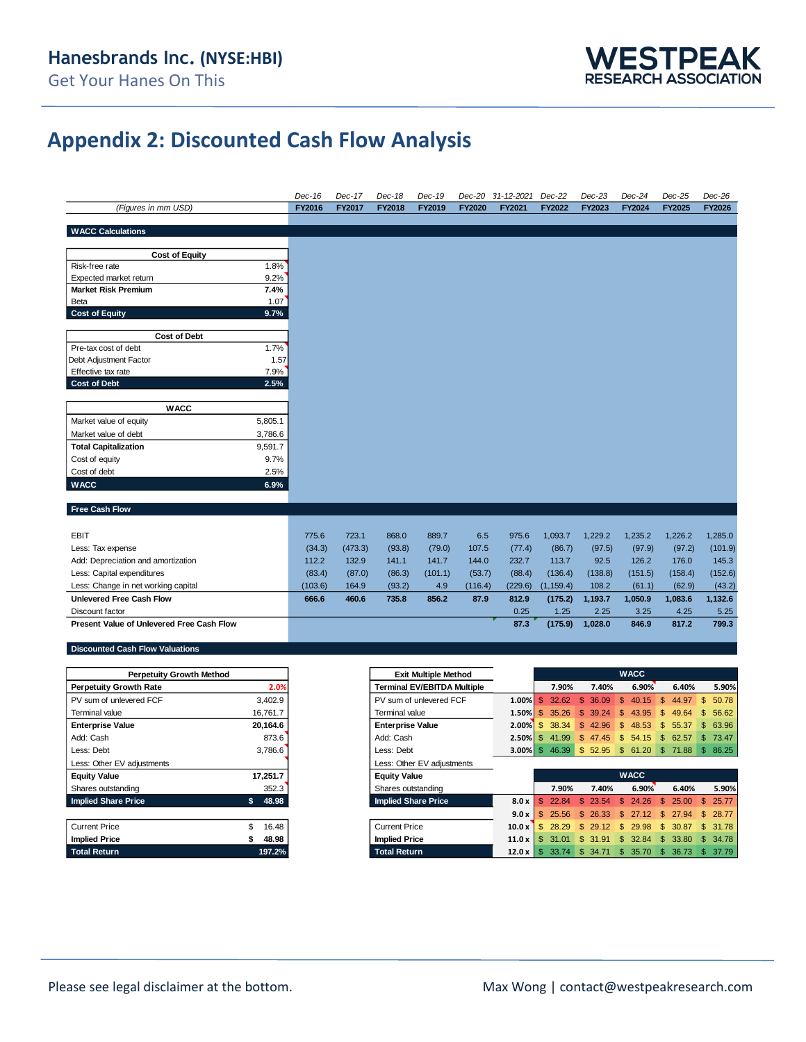

## **Appendix 2: Discounted Cash Flow Analysis**

|                                           |              | Dec-16  | Dec-17  | Dec-18 | Dec-19  | Dec-20  | 31-12-2021 | Dec-22     | Dec-23  | Dec-24  | Dec-25  | Dec-26        |
|-------------------------------------------|--------------|---------|---------|--------|---------|---------|------------|------------|---------|---------|---------|---------------|
| (Figures in mm USD)                       |              | FY2016  | FY2017  | FY2018 | FY2019  | FY2020  | FY2021     | FY2022     | FY2023  | FY2024  | FY2025  | <b>FY2026</b> |
|                                           |              |         |         |        |         |         |            |            |         |         |         |               |
| <b>WACC Calculations</b>                  |              |         |         |        |         |         |            |            |         |         |         |               |
|                                           |              |         |         |        |         |         |            |            |         |         |         |               |
| <b>Cost of Equity</b>                     |              |         |         |        |         |         |            |            |         |         |         |               |
| Risk-free rate                            | 1.8%         |         |         |        |         |         |            |            |         |         |         |               |
| Expected market return                    | 9.2%         |         |         |        |         |         |            |            |         |         |         |               |
| <b>Market Risk Premium</b>                | 7.4%<br>1.07 |         |         |        |         |         |            |            |         |         |         |               |
| Beta<br><b>Cost of Equity</b>             | 9.7%         |         |         |        |         |         |            |            |         |         |         |               |
|                                           |              |         |         |        |         |         |            |            |         |         |         |               |
| <b>Cost of Debt</b>                       |              |         |         |        |         |         |            |            |         |         |         |               |
| Pre-tax cost of debt                      | 1.7%         |         |         |        |         |         |            |            |         |         |         |               |
| Debt Adjustment Factor                    | 1.57         |         |         |        |         |         |            |            |         |         |         |               |
| Effective tax rate                        | 7.9%         |         |         |        |         |         |            |            |         |         |         |               |
| <b>Cost of Debt</b>                       | 2.5%         |         |         |        |         |         |            |            |         |         |         |               |
|                                           |              |         |         |        |         |         |            |            |         |         |         |               |
| <b>WACC</b>                               |              |         |         |        |         |         |            |            |         |         |         |               |
| Market value of equity                    | 5,805.1      |         |         |        |         |         |            |            |         |         |         |               |
| Market value of debt                      | 3,786.6      |         |         |        |         |         |            |            |         |         |         |               |
| <b>Total Capitalization</b>               | 9,591.7      |         |         |        |         |         |            |            |         |         |         |               |
| Cost of equity                            | 9.7%         |         |         |        |         |         |            |            |         |         |         |               |
| Cost of debt                              | 2.5%         |         |         |        |         |         |            |            |         |         |         |               |
| <b>WACC</b>                               | 6.9%         |         |         |        |         |         |            |            |         |         |         |               |
|                                           |              |         |         |        |         |         |            |            |         |         |         |               |
| Free Cash Flow                            |              |         |         |        |         |         |            |            |         |         |         |               |
|                                           |              |         |         |        |         |         |            |            |         |         |         |               |
| <b>EBIT</b>                               |              | 775.6   | 723.1   | 868.0  | 889.7   | 6.5     | 975.6      | 1,093.7    | 1,229.2 | 1,235.2 | 1,226.2 | 1,285.0       |
| Less: Tax expense                         |              | (34.3)  | (473.3) | (93.8) | (79.0)  | 107.5   | (77.4)     | (86.7)     | (97.5)  | (97.9)  | (97.2)  | (101.9)       |
| Add: Depreciation and amortization        |              | 112.2   | 132.9   | 141.1  | 141.7   | 144.0   | 232.7      | 113.7      | 92.5    | 126.2   | 176.0   | 145.3         |
| Less: Capital expenditures                |              | (83.4)  | (87.0)  | (86.3) | (101.1) | (53.7)  | (88.4)     | (136.4)    | (138.8) | (151.5) | (158.4) | (152.6)       |
| Less: Change in net working capital       |              | (103.6) | 164.9   | (93.2) | 4.9     | (116.4) | (229.6)    | (1, 159.4) | 108.2   | (61.1)  | (62.9)  | (43.2)        |
| <b>Unlevered Free Cash Flow</b>           |              | 666.6   | 460.6   | 735.8  | 856.2   | 87.9    | 812.9      | (175.2)    | 1,193.7 | 1,050.9 | 1,083.6 | 1,132.6       |
| Discount factor                           |              |         |         |        |         |         | 0.25       | 1.25       | 2.25    | 3.25    | 4.25    | 5.25          |
| Present Value of Unlevered Free Cash Flow |              |         |         |        |         |         |            |            |         |         |         |               |
|                                           |              |         |         |        |         |         | 87.3       | (175.9)    | 1,028.0 | 846.9   | 817.2   | 799.3         |
| <b>Discounted Cash Flow Valuations</b>    |              |         |         |        |         |         |            |            |         |         |         |               |
|                                           |              |         |         |        |         |         |            |            |         |         |         |               |
|                                           |              |         |         |        |         |         |            |            |         |         |         |               |

| <b>Perpetuity Growth Method</b> |             | <b>Exit Multiple Method</b>      |
|---------------------------------|-------------|----------------------------------|
| <b>Perpetuity Growth Rate</b>   | 2.0%        | <b>Terminal EV/EBITDA Multir</b> |
| PV sum of unlevered FCF         | 3.402.9     | PV sum of unlevered FCF          |
| Terminal value                  | 16,761.7    | Terminal value                   |
| <b>Enterprise Value</b>         | 20.164.6    | <b>Enterprise Value</b>          |
| Add: Cash                       | 873.6       | Add: Cash                        |
| Less: Debt                      | 3.786.6     | Less: Debt                       |
| Less: Other EV adjustments      |             | Less: Other EV adjustments       |
| <b>Equity Value</b>             | 17,251.7    | <b>Equity Value</b>              |
| Shares outstanding              | 352.3       | Shares outstanding               |
| <b>Implied Share Price</b>      | 48.98<br>\$ | <b>Implied Share Price</b>       |
|                                 |             |                                  |
| <b>Current Price</b>            | 16.48<br>S. | <b>Current Price</b>             |

| <b>Current Price</b> | 16.48  |
|----------------------|--------|
| <b>Implied Price</b> | 48.98  |
| <b>Total Return</b>  | 197.2% |

| <b>Perpetuity Growth Method</b> |              | <b>Exit Multiple Method</b>        |               |                                |                       | <b>WACC</b>                    |         |              |
|---------------------------------|--------------|------------------------------------|---------------|--------------------------------|-----------------------|--------------------------------|---------|--------------|
| Perpetuity Growth Rate          | 2.0%         | <b>Terminal EV/EBITDA Multiple</b> |               | 7.90%                          | 7.40%                 | 6.90%                          | 6.40%   | 5.90%        |
| PV sum of unlevered FCF         | 3,402.9      | PV sum of unlevered FCF            | $1.00\%$ \$   | 32.62                          | 36.09<br>-S           | $\mathbb{S}$<br>40.15<br>\$.   | 44.97   | 50.78<br>\$. |
| Terminal value                  | 16,761.7     | Terminal value                     |               | 35.26                          | \$39.24               | <sup>\$</sup><br>43.95<br>-SS  | 49.64   | \$56.62      |
| <b>Enterprise Value</b>         | 20,164.6     | <b>Enterprise Value</b>            | 2.00%         | 38.34                          | \$42.96               | 48.53<br>\$<br>\$.             | 55.37   | \$63.96      |
| Add: Cash                       | 873.6        | Add: Cash                          |               | $2.50\%$ \$ 41.99              | \$47.45               | -S<br>54.15                    | \$62.57 | \$73.47      |
| Less: Debt                      | 3,786.6      | Less: Debt                         |               | <b>3.00% \$</b> 46.39 \$ 52.95 |                       | $$61.20$ \$ 71.88              |         | \$86.25      |
| Less: Other EV adjustments      |              | Less: Other EV adjustments         |               |                                |                       |                                |         |              |
| <b>Equity Value</b>             | 17,251.7     | <b>Equity Value</b>                |               |                                |                       | <b>WACC</b>                    |         |              |
| Shares outstanding              | 352.3        | Shares outstanding                 |               | 7.90%                          | 7.40%                 | 6.90%                          | 6.40%   | 5.90%        |
| <b>Implied Share Price</b>      | 48.98<br>\$. | <b>Implied Share Price</b>         | 8.0x          | 22.84                          | 23.54<br>$\mathbb{S}$ | \$.<br>24.26<br>-96            | 25.00   | 25.77<br>\$. |
|                                 |              |                                    | 9.0x          | $\mathbf{s}$<br>25.56          | \$26.33               | - SS<br>27.12<br><sup>\$</sup> | 27.94   | 28.77<br>\$. |
| <b>Current Price</b>            | 16.48        | <b>Current Price</b>               | 10.0x         | 28.29                          | \$29.12               | 29.98<br>\$.<br>£.             | 30.87   | \$31.78      |
| Implied Price                   | 48.98        | <b>Implied Price</b>               | $11.0 \times$ | \$31.01                        | \$31.91               | 32.84<br>SS.<br>\$.            | 33.80   | \$34.78      |
| <b>Total Return</b>             | 197.2%       | <b>Total Return</b>                | 12.0x         | 33.74<br>- \$                  | \$34.71               | 35.70<br>\$.<br>\$.            | 36.73   | 37.79<br>SS. |